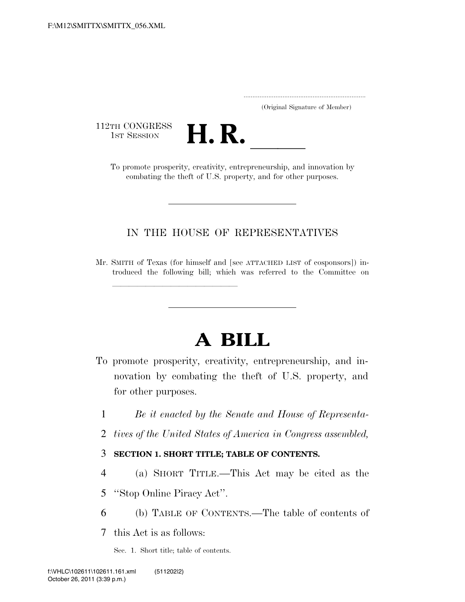..................................................................... (Original Signature of Member)

112TH CONGRESS<br>1st Session



TH CONGRESS<br>1st SESSION **H. R.** <u>Interpreneurship, and innovation by</u><br>To promote prosperity, creativity, entrepreneurship, and innovation by combating the theft of U.S. property, and for other purposes.

# IN THE HOUSE OF REPRESENTATIVES

Mr. SMITH of Texas (for himself and [see ATTACHED LIST of cosponsors]) introduced the following bill; which was referred to the Committee on

# **A BILL**

- To promote prosperity, creativity, entrepreneurship, and innovation by combating the theft of U.S. property, and for other purposes.
	- 1 *Be it enacted by the Senate and House of Representa-*
	- 2 *tives of the United States of America in Congress assembled,*

## 3 **SECTION 1. SHORT TITLE; TABLE OF CONTENTS.**

4 (a) SHORT TITLE.—This Act may be cited as the

5 ''Stop Online Piracy Act''.

<del>llilla santa territoria dell'Indonesia dell'Indonesia dell'Indonesia dell'Indonesia dell'Indonesia dell'Indones<br>Il professori di Indonesia dell'Indonesia dell'Indonesia dell'Indonesia dell'Indonesia dell'Indonesia dell'In</del>

6 (b) TABLE OF CONTENTS.—The table of contents of

7 this Act is as follows:

Sec. 1. Short title; table of contents.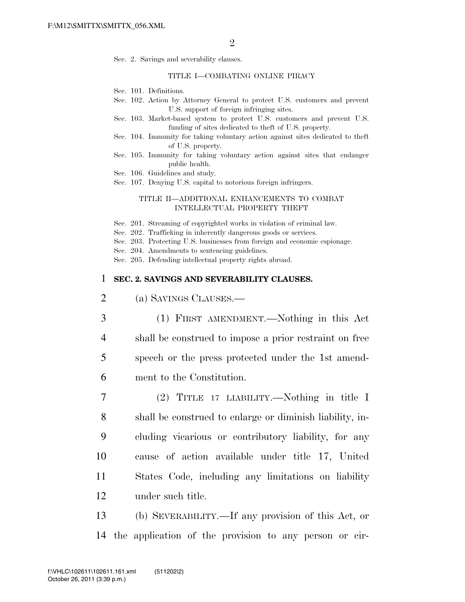Sec. 2. Savings and severability clauses.

#### TITLE I—COMBATING ONLINE PIRACY

- Sec. 101. Definitions.
- Sec. 102. Action by Attorney General to protect U.S. customers and prevent U.S. support of foreign infringing sites.
- Sec. 103. Market-based system to protect U.S. customers and prevent U.S. funding of sites dedicated to theft of U.S. property.
- Sec. 104. Immunity for taking voluntary action against sites dedicated to theft of U.S. property.
- Sec. 105. Immunity for taking voluntary action against sites that endanger public health.
- Sec. 106. Guidelines and study.
- Sec. 107. Denying U.S. capital to notorious foreign infringers.

#### TITLE II—ADDITIONAL ENHANCEMENTS TO COMBAT INTELLECTUAL PROPERTY THEFT

- Sec. 201. Streaming of copyrighted works in violation of criminal law.
- Sec. 202. Trafficking in inherently dangerous goods or services.
- Sec. 203. Protecting U.S. businesses from foreign and economic espionage.
- Sec. 204. Amendments to sentencing guidelines.

Sec. 205. Defending intellectual property rights abroad.

#### 1 **SEC. 2. SAVINGS AND SEVERABILITY CLAUSES.**

- 2 (a) SAVINGS CLAUSES.—
- 3 (1) FIRST AMENDMENT.—Nothing in this Act 4 shall be construed to impose a prior restraint on free 5 speech or the press protected under the 1st amend-6 ment to the Constitution.
- 7 (2) TITLE 17 LIABILITY.—Nothing in title I 8 shall be construed to enlarge or diminish liability, in-9 cluding vicarious or contributory liability, for any 10 cause of action available under title 17, United 11 States Code, including any limitations on liability 12 under such title.
- 13 (b) SEVERABILITY.—If any provision of this Act, or 14 the application of the provision to any person or cir-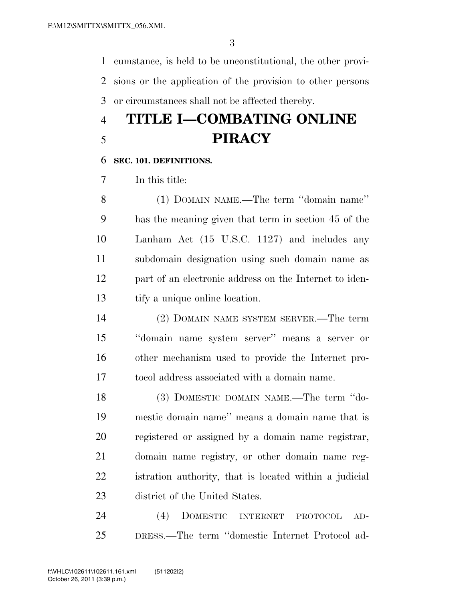cumstance, is held to be unconstitutional, the other provi- sions or the application of the provision to other persons or circumstances shall not be affected thereby.

# **TITLE I—COMBATING ONLINE PIRACY**

### **SEC. 101. DEFINITIONS.**

In this title:

 (1) DOMAIN NAME.—The term ''domain name'' has the meaning given that term in section 45 of the Lanham Act (15 U.S.C. 1127) and includes any subdomain designation using such domain name as part of an electronic address on the Internet to iden-tify a unique online location.

 (2) DOMAIN NAME SYSTEM SERVER.—The term ''domain name system server'' means a server or other mechanism used to provide the Internet pro-tocol address associated with a domain name.

 (3) DOMESTIC DOMAIN NAME.—The term ''do- mestic domain name'' means a domain name that is registered or assigned by a domain name registrar, domain name registry, or other domain name reg- istration authority, that is located within a judicial district of the United States.

 (4) DOMESTIC INTERNET PROTOCOL AD-DRESS.—The term ''domestic Internet Protocol ad-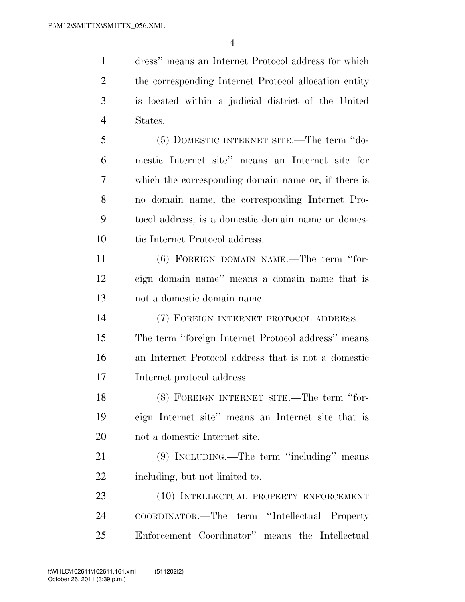dress'' means an Internet Protocol address for which the corresponding Internet Protocol allocation entity is located within a judicial district of the United States.

 (5) DOMESTIC INTERNET SITE.—The term ''do- mestic Internet site'' means an Internet site for which the corresponding domain name or, if there is no domain name, the corresponding Internet Pro- tocol address, is a domestic domain name or domes-tic Internet Protocol address.

 (6) FOREIGN DOMAIN NAME.—The term ''for- eign domain name'' means a domain name that is not a domestic domain name.

 (7) FOREIGN INTERNET PROTOCOL ADDRESS.— The term ''foreign Internet Protocol address'' means an Internet Protocol address that is not a domestic Internet protocol address.

 (8) FOREIGN INTERNET SITE.—The term ''for- eign Internet site'' means an Internet site that is not a domestic Internet site.

 (9) INCLUDING.—The term ''including'' means including, but not limited to.

 (10) INTELLECTUAL PROPERTY ENFORCEMENT COORDINATOR.—The term ''Intellectual Property Enforcement Coordinator'' means the Intellectual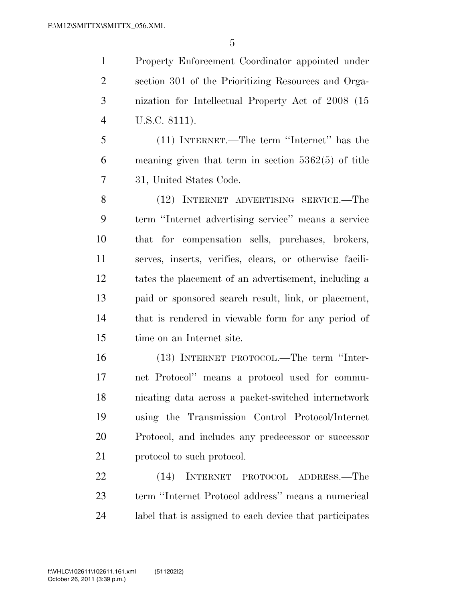Property Enforcement Coordinator appointed under section 301 of the Prioritizing Resources and Orga- nization for Intellectual Property Act of 2008 (15 U.S.C. 8111).

 (11) INTERNET.—The term ''Internet'' has the meaning given that term in section 5362(5) of title 31, United States Code.

 (12) INTERNET ADVERTISING SERVICE.—The term ''Internet advertising service'' means a service that for compensation sells, purchases, brokers, serves, inserts, verifies, clears, or otherwise facili- tates the placement of an advertisement, including a paid or sponsored search result, link, or placement, that is rendered in viewable form for any period of time on an Internet site.

 (13) INTERNET PROTOCOL.—The term ''Inter- net Protocol'' means a protocol used for commu- nicating data across a packet-switched internetwork using the Transmission Control Protocol/Internet Protocol, and includes any predecessor or successor 21 protocol to such protocol.

 (14) INTERNET PROTOCOL ADDRESS.—The term ''Internet Protocol address'' means a numerical label that is assigned to each device that participates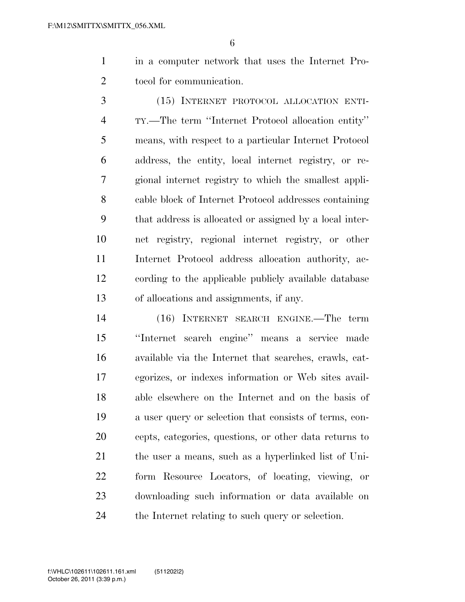in a computer network that uses the Internet Pro-tocol for communication.

 (15) INTERNET PROTOCOL ALLOCATION ENTI- TY.—The term ''Internet Protocol allocation entity'' means, with respect to a particular Internet Protocol address, the entity, local internet registry, or re- gional internet registry to which the smallest appli- cable block of Internet Protocol addresses containing that address is allocated or assigned by a local inter- net registry, regional internet registry, or other Internet Protocol address allocation authority, ac- cording to the applicable publicly available database of allocations and assignments, if any.

 (16) INTERNET SEARCH ENGINE.—The term ''Internet search engine'' means a service made available via the Internet that searches, crawls, cat- egorizes, or indexes information or Web sites avail- able elsewhere on the Internet and on the basis of a user query or selection that consists of terms, con- cepts, categories, questions, or other data returns to the user a means, such as a hyperlinked list of Uni- form Resource Locators, of locating, viewing, or downloading such information or data available on the Internet relating to such query or selection.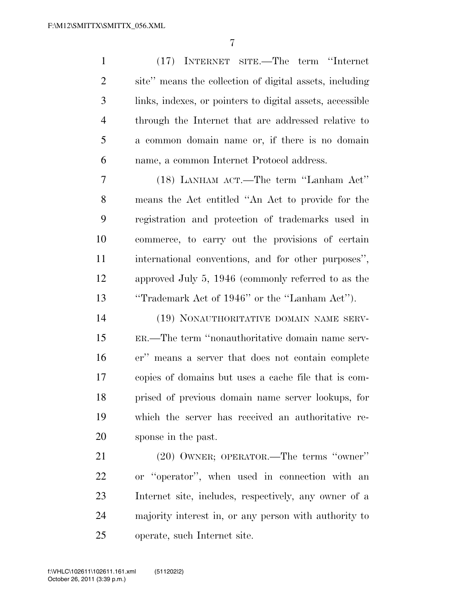(17) INTERNET SITE.—The term ''Internet site'' means the collection of digital assets, including links, indexes, or pointers to digital assets, accessible through the Internet that are addressed relative to a common domain name or, if there is no domain name, a common Internet Protocol address. (18) LANHAM ACT.—The term ''Lanham Act'' means the Act entitled ''An Act to provide for the registration and protection of trademarks used in commerce, to carry out the provisions of certain international conventions, and for other purposes'',

 approved July 5, 1946 (commonly referred to as the ''Trademark Act of 1946'' or the ''Lanham Act'').

 (19) NONAUTHORITATIVE DOMAIN NAME SERV- ER.—The term ''nonauthoritative domain name serv- er'' means a server that does not contain complete copies of domains but uses a cache file that is com- prised of previous domain name server lookups, for which the server has received an authoritative re-sponse in the past.

 (20) OWNER; OPERATOR.—The terms ''owner'' or ''operator'', when used in connection with an Internet site, includes, respectively, any owner of a majority interest in, or any person with authority to operate, such Internet site.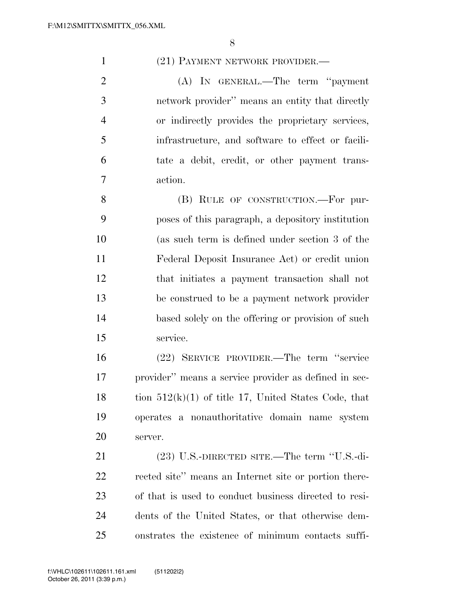1 (21) PAYMENT NETWORK PROVIDER.—

2 (A) In GENERAL.—The term "payment" network provider'' means an entity that directly or indirectly provides the proprietary services, infrastructure, and software to effect or facili- tate a debit, credit, or other payment trans-action.

8 (B) RULE OF CONSTRUCTION.—For pur- poses of this paragraph, a depository institution (as such term is defined under section 3 of the Federal Deposit Insurance Act) or credit union that initiates a payment transaction shall not be construed to be a payment network provider based solely on the offering or provision of such service.

 (22) SERVICE PROVIDER.—The term ''service provider'' means a service provider as defined in sec-18 tion  $512(k)(1)$  of title 17, United States Code, that operates a nonauthoritative domain name system server.

 (23) U.S.-DIRECTED SITE.—The term ''U.S.-di- rected site'' means an Internet site or portion there- of that is used to conduct business directed to resi- dents of the United States, or that otherwise dem-onstrates the existence of minimum contacts suffi-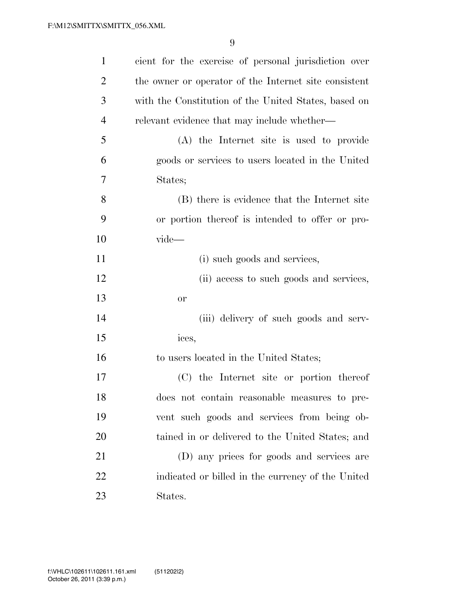| $\mathbf{1}$   | cient for the exercise of personal jurisdiction over  |
|----------------|-------------------------------------------------------|
| $\overline{2}$ | the owner or operator of the Internet site consistent |
| 3              | with the Constitution of the United States, based on  |
| $\overline{4}$ | relevant evidence that may include whether—           |
| 5              | (A) the Internet site is used to provide              |
| 6              | goods or services to users located in the United      |
| 7              | States;                                               |
| 8              | (B) there is evidence that the Internet site          |
| 9              | or portion thereof is intended to offer or pro-       |
| 10             | vide-                                                 |
| 11             | (i) such goods and services,                          |
| 12             | (ii) access to such goods and services,               |
| 13             | <b>or</b>                                             |
| 14             | (iii) delivery of such goods and serv-                |
| 15             | ices,                                                 |
| 16             | to users located in the United States;                |
| 17             | (C) the Internet site or portion thereof              |
| 18             | does not contain reasonable measures to pre-          |
| 19             | vent such goods and services from being ob-           |
| 20             | tained in or delivered to the United States; and      |
| 21             | (D) any prices for goods and services are             |
| 22             | indicated or billed in the currency of the United     |
| 23             | States.                                               |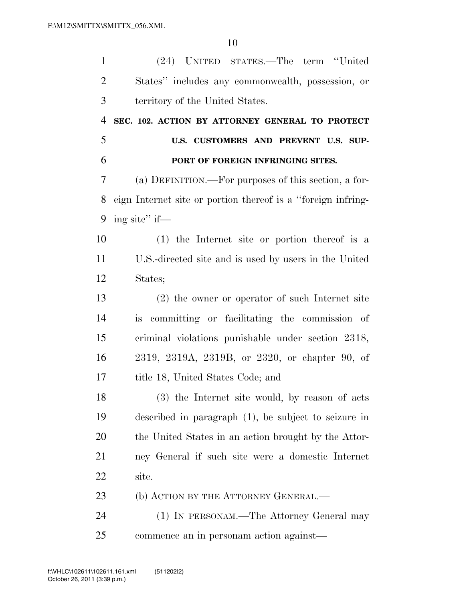| $\mathbf{1}$   | (24) UNITED STATES.—The term "United                         |
|----------------|--------------------------------------------------------------|
| $\overline{2}$ | States" includes any commonwealth, possession, or            |
| 3              | territory of the United States.                              |
| $\overline{4}$ | SEC. 102. ACTION BY ATTORNEY GENERAL TO PROTECT              |
| 5              | U.S. CUSTOMERS AND PREVENT U.S. SUP-                         |
| 6              | PORT OF FOREIGN INFRINGING SITES.                            |
| 7              | (a) DEFINITION.—For purposes of this section, a for-         |
| 8              | eign Internet site or portion thereof is a "foreign infring- |
| 9              | ing site" if—                                                |
| 10             | $(1)$ the Internet site or portion thereof is a              |
| 11             | U.S.-directed site and is used by users in the United        |
| 12             | States;                                                      |
| 13             | $(2)$ the owner or operator of such Internet site            |
| 14             | is committing or facilitating the commission of              |
| 15             | criminal violations punishable under section 2318,           |
| 16             | 2319, 2319A, 2319B, or 2320, or chapter 90, of               |
| 17             | title 18, United States Code; and                            |
| 18             | (3) the Internet site would, by reason of acts               |
| 19             | described in paragraph $(1)$ , be subject to seizure in      |
| 20             | the United States in an action brought by the Attor-         |
| 21             | ney General if such site were a domestic Internet            |
| 22             | site.                                                        |
| 23             | (b) ACTION BY THE ATTORNEY GENERAL.—                         |
| 24             | (1) IN PERSONAM.—The Attorney General may                    |
| 25             | commence an in personam action against—                      |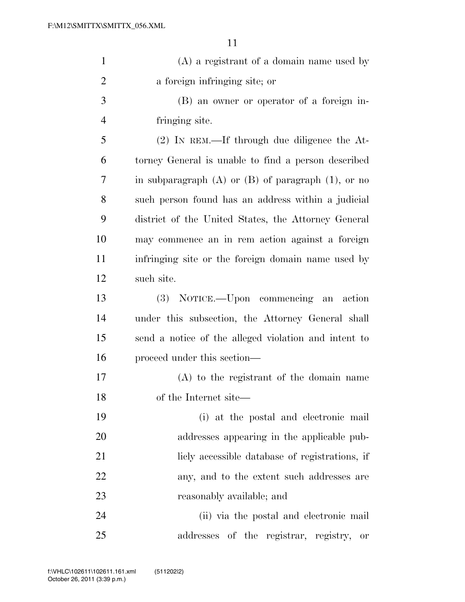| $\mathbf{1}$   | $(A)$ a registrant of a domain name used by               |
|----------------|-----------------------------------------------------------|
| $\overline{2}$ | a foreign infringing site; or                             |
| 3              | (B) an owner or operator of a foreign in-                 |
| $\overline{4}$ | fringing site.                                            |
| 5              | $(2)$ IN REM.—If through due diligence the At-            |
| 6              | torney General is unable to find a person described       |
| 7              | in subparagraph $(A)$ or $(B)$ of paragraph $(1)$ , or no |
| 8              | such person found has an address within a judicial        |
| 9              | district of the United States, the Attorney General       |
| 10             | may commence an in rem action against a foreign           |
| 11             | infringing site or the foreign domain name used by        |
| 12             | such site.                                                |
| 13             | (3) NOTICE.—Upon commencing an action                     |
| 14             | under this subsection, the Attorney General shall         |
| 15             | send a notice of the alleged violation and intent to      |
| 16             | proceed under this section—                               |
| $17\,$         | (A) to the registrant of the domain name                  |
| 18             | of the Internet site—                                     |
| 19             | (i) at the postal and electronic mail                     |
| 20             | addresses appearing in the applicable pub-                |
| 21             | licly accessible database of registrations, if            |
| 22             | any, and to the extent such addresses are                 |
| 23             | reasonably available; and                                 |
| 24             | (ii) via the postal and electronic mail                   |
| 25             | addresses of the registrar, registry, or                  |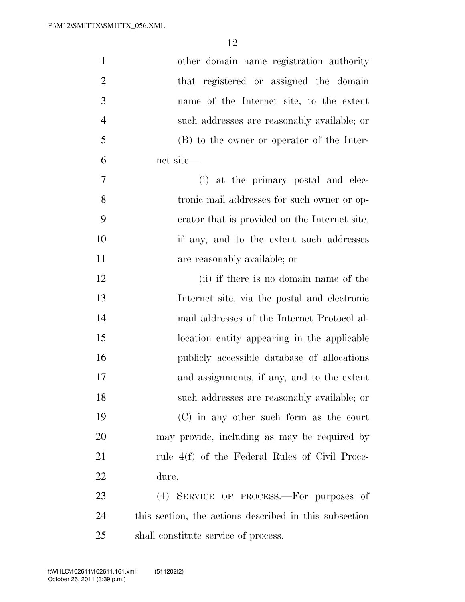| $\mathbf{1}$     | other domain name registration authority               |
|------------------|--------------------------------------------------------|
| $\overline{2}$   | that registered or assigned the domain                 |
| 3                | name of the Internet site, to the extent               |
| $\overline{4}$   | such addresses are reasonably available; or            |
| 5                | (B) to the owner or operator of the Inter-             |
| 6                | net site-                                              |
| $\boldsymbol{7}$ | (i) at the primary postal and elec-                    |
| 8                | tronic mail addresses for such owner or op-            |
| 9                | erator that is provided on the Internet site,          |
| 10               | if any, and to the extent such addresses               |
| 11               | are reasonably available; or                           |
| 12               | (ii) if there is no domain name of the                 |
| 13               | Internet site, via the postal and electronic           |
| 14               | mail addresses of the Internet Protocol al-            |
| 15               | location entity appearing in the applicable            |
| 16               | publicly accessible database of allocations            |
| 17               | and assignments, if any, and to the extent             |
| 18               | such addresses are reasonably available; or            |
| 19               | $(C)$ in any other such form as the court              |
| 20               | may provide, including as may be required by           |
| 21               | rule 4(f) of the Federal Rules of Civil Proce-         |
| 22               | dure.                                                  |
| 23               | (4) SERVICE OF PROCESS.—For purposes of                |
| 24               | this section, the actions described in this subsection |
| 25               | shall constitute service of process.                   |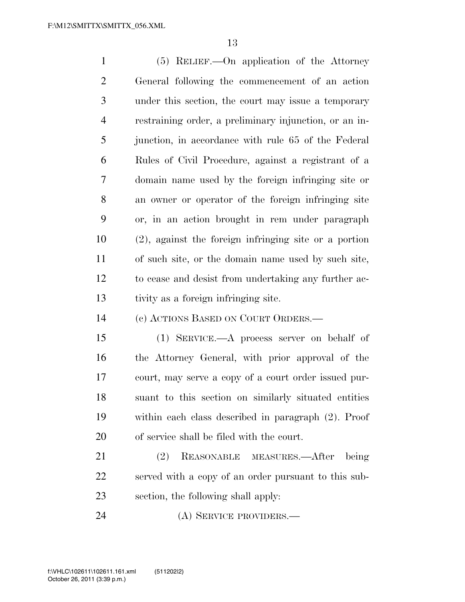(5) RELIEF.—On application of the Attorney General following the commencement of an action under this section, the court may issue a temporary restraining order, a preliminary injunction, or an in- junction, in accordance with rule 65 of the Federal Rules of Civil Procedure, against a registrant of a domain name used by the foreign infringing site or an owner or operator of the foreign infringing site or, in an action brought in rem under paragraph (2), against the foreign infringing site or a portion of such site, or the domain name used by such site, to cease and desist from undertaking any further ac-tivity as a foreign infringing site.

(c) ACTIONS BASED ON COURT ORDERS.—

 (1) SERVICE.—A process server on behalf of the Attorney General, with prior approval of the court, may serve a copy of a court order issued pur- suant to this section on similarly situated entities within each class described in paragraph (2). Proof of service shall be filed with the court.

 (2) REASONABLE MEASURES.—After being served with a copy of an order pursuant to this sub-section, the following shall apply:

(A) SERVICE PROVIDERS.—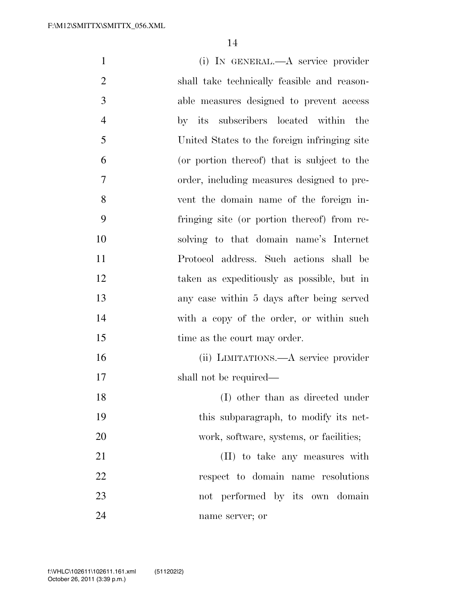| $\mathbf{1}$   | (i) IN GENERAL.—A service provider           |
|----------------|----------------------------------------------|
| $\overline{2}$ | shall take technically feasible and reason-  |
| 3              | able measures designed to prevent access     |
| $\overline{4}$ | by its subscribers located within the        |
| 5              | United States to the foreign infringing site |
| 6              | (or portion thereof) that is subject to the  |
| 7              | order, including measures designed to pre-   |
| 8              | vent the domain name of the foreign in-      |
| 9              | fringing site (or portion thereof) from re-  |
| 10             | solving to that domain name's Internet       |
| 11             | Protocol address. Such actions shall be      |
| 12             | taken as expeditiously as possible, but in   |
| 13             | any case within 5 days after being served    |
| 14             | with a copy of the order, or within such     |
| 15             | time as the court may order.                 |
| 16             | (ii) LIMITATIONS.—A service provider         |
| 17             | shall not be required—                       |
| 18             | (I) other than as directed under             |
| 19             | this subparagraph, to modify its net-        |
| 20             | work, software, systems, or facilities;      |
| 21             | (II) to take any measures with               |
| 22             | respect to domain name resolutions           |
| 23             | not performed by its own domain              |
| 24             | name server; or                              |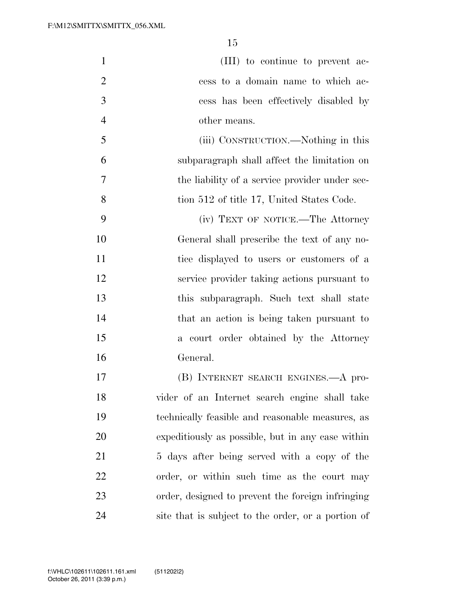|                | (III) to continue to prevent ac-            |
|----------------|---------------------------------------------|
| $\overline{2}$ | cess to a domain name to which ac-          |
| -3             | cess has been effectively disabled by       |
|                | other means.                                |
| -5             | (iii) CONSTRUCTION.—Nothing in this         |
|                | subparagraph shall affect the limitation on |

 the liability of a service provider under sec-8 tion 512 of title 17, United States Code.

 (iv) TEXT OF NOTICE.—The Attorney General shall prescribe the text of any no- tice displayed to users or customers of a service provider taking actions pursuant to this subparagraph. Such text shall state that an action is being taken pursuant to a court order obtained by the Attorney General.

 (B) INTERNET SEARCH ENGINES.—A pro- vider of an Internet search engine shall take technically feasible and reasonable measures, as expeditiously as possible, but in any case within 21 5 days after being served with a copy of the order, or within such time as the court may order, designed to prevent the foreign infringing site that is subject to the order, or a portion of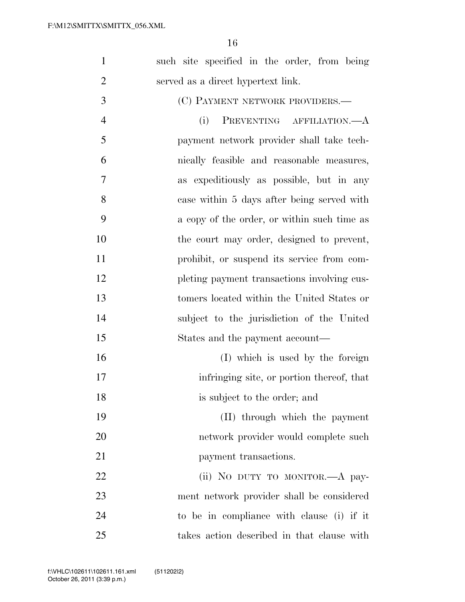| $\mathbf{1}$   | such site specified in the order, from being |
|----------------|----------------------------------------------|
| $\overline{2}$ | served as a direct hypertext link.           |
| 3              | (C) PAYMENT NETWORK PROVIDERS.—              |
| $\overline{4}$ | (i)<br>PREVENTING AFFILIATION.—A             |
| 5              | payment network provider shall take tech-    |
| 6              | nically feasible and reasonable measures,    |
| 7              | as expeditiously as possible, but in any     |
| 8              | case within 5 days after being served with   |
| 9              | a copy of the order, or within such time as  |
| 10             | the court may order, designed to prevent,    |
| 11             | prohibit, or suspend its service from com-   |
| 12             | pleting payment transactions involving cus-  |
| 13             | tomers located within the United States or   |
| 14             | subject to the jurisdiction of the United    |
| 15             | States and the payment account—              |
| 16             | (I) which is used by the foreign             |
| 17             | infringing site, or portion thereof, that    |
| 18             | is subject to the order; and                 |
| 19             | (II) through which the payment               |
| 20             | network provider would complete such         |
| 21             | payment transactions.                        |
| 22             | (ii) NO DUTY TO MONITOR. A pay-              |
| 23             | ment network provider shall be considered    |
| 24             | to be in compliance with clause (i) if it    |
| 25             | takes action described in that clause with   |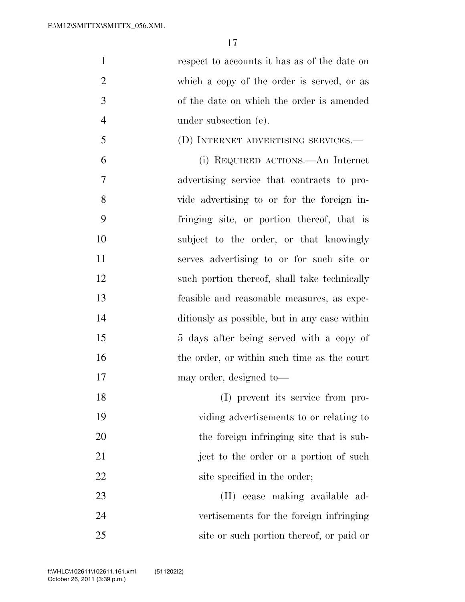respect to accounts it has as of the date on which a copy of the order is served, or as of the date on which the order is amended under subsection (e).

(D) INTERNET ADVERTISING SERVICES.—

 (i) REQUIRED ACTIONS.—An Internet advertising service that contracts to pro- vide advertising to or for the foreign in- fringing site, or portion thereof, that is subject to the order, or that knowingly serves advertising to or for such site or 12 such portion thereof, shall take technically feasible and reasonable measures, as expe- ditiously as possible, but in any case within 15 5 days after being served with a copy of 16 the order, or within such time as the court may order, designed to—

 (I) prevent its service from pro- viding advertisements to or relating to the foreign infringing site that is sub-21 ject to the order or a portion of such 22 site specified in the order;

 (II) cease making available ad- vertisements for the foreign infringing 25 site or such portion thereof, or paid or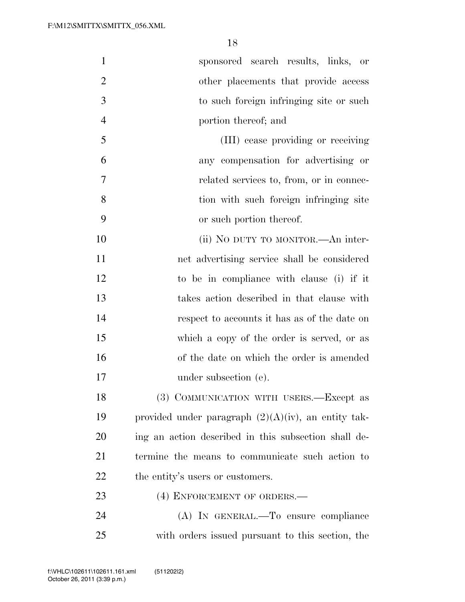| $\mathbf{1}$   | sponsored search results, links, or                    |
|----------------|--------------------------------------------------------|
| $\overline{2}$ | other placements that provide access                   |
| 3              | to such foreign infringing site or such                |
| $\overline{4}$ | portion thereof; and                                   |
| 5              | (III) cease providing or receiving                     |
| 6              | any compensation for advertising or                    |
| 7              | related services to, from, or in connec-               |
| 8              | tion with such foreign infringing site                 |
| 9              | or such portion thereof.                               |
| 10             | (ii) NO DUTY TO MONITOR.—An inter-                     |
| 11             | net advertising service shall be considered            |
| 12             | to be in compliance with clause (i) if it              |
| 13             | takes action described in that clause with             |
| 14             | respect to accounts it has as of the date on           |
| 15             | which a copy of the order is served, or as             |
| 16             | of the date on which the order is amended              |
| 17             | under subsection (e).                                  |
| 18             | (3) COMMUNICATION WITH USERS.—Except as                |
| 19             | provided under paragraph $(2)(A)(iv)$ , an entity tak- |
| 20             | ing an action described in this subsection shall de-   |
| 21             | termine the means to communicate such action to        |
| 22             | the entity's users or customers.                       |
| 23             | (4) ENFORCEMENT OF ORDERS.—                            |
| 24             | (A) IN GENERAL.—To ensure compliance                   |
| 25             | with orders issued pursuant to this section, the       |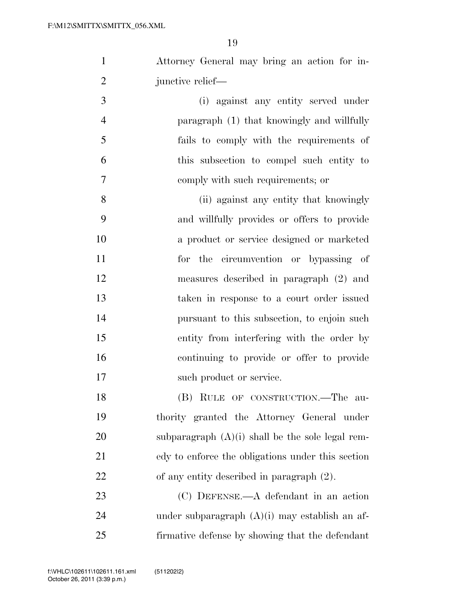| $\mathbf{1}$   | Attorney General may bring an action for in-       |
|----------------|----------------------------------------------------|
| $\overline{2}$ | junctive relief—                                   |
| 3              | (i) against any entity served under                |
| $\overline{4}$ | paragraph (1) that knowingly and willfully         |
| 5              | fails to comply with the requirements of           |
| 6              | this subsection to compel such entity to           |
| 7              | comply with such requirements; or                  |
| 8              | (ii) against any entity that knowingly             |
| 9              | and willfully provides or offers to provide        |
| 10             | a product or service designed or marketed          |
| 11             | for the circumvention or bypassing of              |
| 12             | measures described in paragraph (2) and            |
| 13             | taken in response to a court order issued          |
| 14             | pursuant to this subsection, to enjoin such        |
| 15             | entity from interfering with the order by          |
| 16             | continuing to provide or offer to provide          |
| 17             | such product or service.                           |
| 18             | (B) RULE OF CONSTRUCTION.—The<br>au-               |
| 19             | thority granted the Attorney General under         |
| 20             | subparagraph $(A)(i)$ shall be the sole legal rem- |
| 21             | edy to enforce the obligations under this section  |
| 22             | of any entity described in paragraph $(2)$ .       |

 (C) DEFENSE.—A defendant in an action under subparagraph (A)(i) may establish an af-firmative defense by showing that the defendant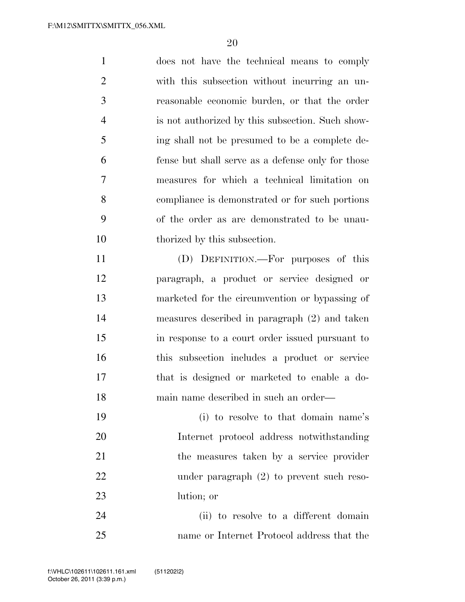| $\mathbf{1}$   | does not have the technical means to comply       |
|----------------|---------------------------------------------------|
| $\overline{2}$ | with this subsection without incurring an un-     |
| 3              | reasonable economic burden, or that the order     |
| $\overline{4}$ | is not authorized by this subsection. Such show-  |
| 5              | ing shall not be presumed to be a complete de-    |
| 6              | fense but shall serve as a defense only for those |
| 7              | measures for which a technical limitation on      |
| 8              | compliance is demonstrated or for such portions   |
| 9              | of the order as are demonstrated to be unau-      |
| 10             | thorized by this subsection.                      |
| 11             | (D) DEFINITION.—For purposes of this              |
| 12             | paragraph, a product or service designed or       |
| 13             | marketed for the circumvention or bypassing of    |
| 14             | measures described in paragraph (2) and taken     |
| 15             | in response to a court order issued pursuant to   |
|                |                                                   |

 this subsection includes a product or service that is designed or marketed to enable a do-main name described in such an order—

 (i) to resolve to that domain name's Internet protocol address notwithstanding the measures taken by a service provider under paragraph (2) to prevent such reso-lution; or

 (ii) to resolve to a different domain name or Internet Protocol address that the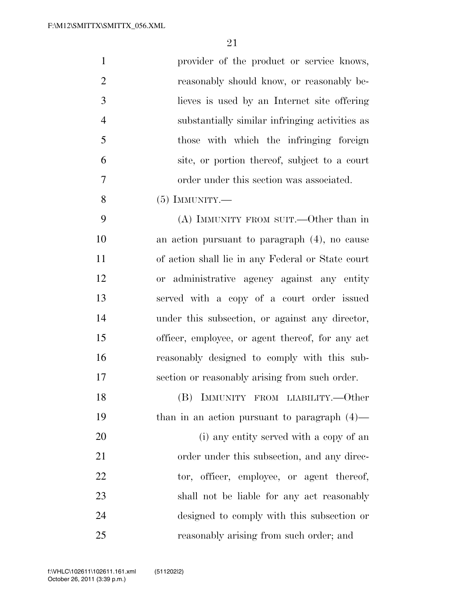| $\mathbf{1}$   | provider of the product or service knows,         |
|----------------|---------------------------------------------------|
| $\overline{2}$ | reasonably should know, or reasonably be-         |
| 3              | lieves is used by an Internet site offering       |
| $\overline{4}$ | substantially similar infringing activities as    |
| 5              | those with which the infringing foreign           |
| 6              | site, or portion thereof, subject to a court      |
| 7              | order under this section was associated.          |
| 8              | $(5)$ IMMUNITY.—                                  |
| 9              | (A) IMMUNITY FROM SUIT.—Other than in             |
| 10             | an action pursuant to paragraph $(4)$ , no cause  |
| 11             | of action shall lie in any Federal or State court |
| 12             | or administrative agency against any entity       |
| 13             | served with a copy of a court order issued        |
| 14             | under this subsection, or against any director,   |
| 15             | officer, employee, or agent thereof, for any act  |
| 16             | reasonably designed to comply with this sub-      |
| 17             | section or reasonably arising from such order.    |
| 18             | (B) IMMUNITY FROM LIABILITY.—Other                |
| 19             | than in an action pursuant to paragraph $(4)$ —   |
| 20             | (i) any entity served with a copy of an           |
| 21             | order under this subsection, and any direc-       |
| 22             | tor, officer, employee, or agent thereof,         |
| 23             | shall not be liable for any act reasonably        |
| 24             | designed to comply with this subsection or        |
| 25             | reasonably arising from such order; and           |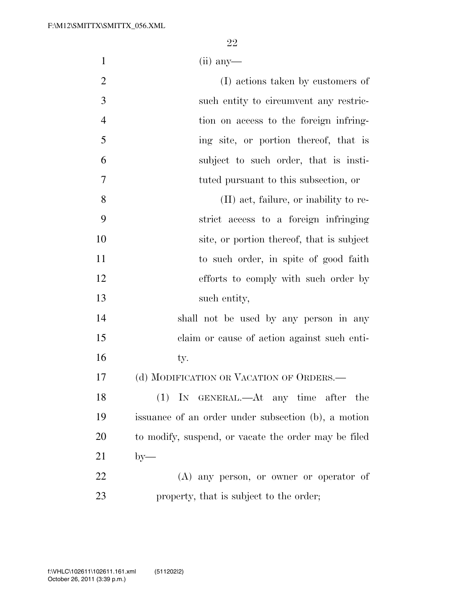- (ii) any—
- (I) actions taken by customers of such entity to circumvent any restric- tion on access to the foreign infring- ing site, or portion thereof, that is subject to such order, that is insti-tuted pursuant to this subsection, or
- (II) act, failure, or inability to re- strict access to a foreign infringing 10 site, or portion thereof, that is subject 11 to such order, in spite of good faith efforts to comply with such order by 13 such entity,
- shall not be used by any person in any claim or cause of action against such enti-16 ty.
- (d) MODIFICATION OR VACATION OF ORDERS.—

 (1) IN GENERAL.—At any time after the issuance of an order under subsection (b), a motion 20 to modify, suspend, or vacate the order may be filed by—

 (A) any person, or owner or operator of property, that is subject to the order;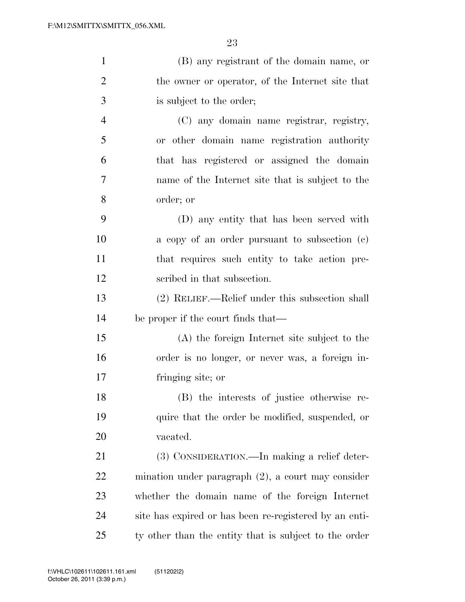| $\mathbf{1}$   | (B) any registrant of the domain name, or              |
|----------------|--------------------------------------------------------|
| $\overline{2}$ | the owner or operator, of the Internet site that       |
| 3              | is subject to the order;                               |
| $\overline{4}$ | (C) any domain name registrar, registry,               |
| 5              | or other domain name registration authority            |
| 6              | that has registered or assigned the domain             |
| 7              | name of the Internet site that is subject to the       |
| 8              | order; or                                              |
| 9              | (D) any entity that has been served with               |
| 10             | a copy of an order pursuant to subsection (c)          |
| 11             | that requires such entity to take action pre-          |
| 12             | scribed in that subsection.                            |
| 13             | (2) RELIEF.—Relief under this subsection shall         |
| 14             | be proper if the court finds that—                     |
| 15             | (A) the foreign Internet site subject to the           |
| 16             | order is no longer, or never was, a foreign in-        |
| 17             | fringing site; or                                      |
| 18             | (B) the interests of justice otherwise re-             |
| 19             | quire that the order be modified, suspended, or        |
| 20             | vacated.                                               |
| 21             | (3) CONSIDERATION.—In making a relief deter-           |
| 22             | mination under paragraph $(2)$ , a court may consider  |
| 23             | whether the domain name of the foreign Internet        |
| 24             | site has expired or has been re-registered by an enti- |
| 25             | ty other than the entity that is subject to the order  |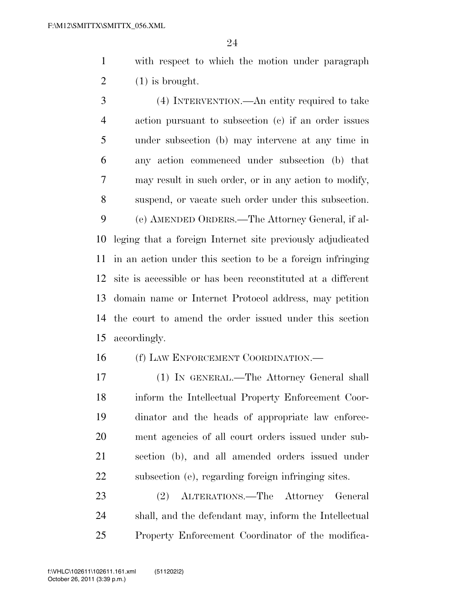with respect to which the motion under paragraph  $2 \qquad (1)$  is brought.

 (4) INTERVENTION.—An entity required to take action pursuant to subsection (c) if an order issues under subsection (b) may intervene at any time in any action commenced under subsection (b) that may result in such order, or in any action to modify, suspend, or vacate such order under this subsection. (e) AMENDED ORDERS.—The Attorney General, if al- leging that a foreign Internet site previously adjudicated in an action under this section to be a foreign infringing site is accessible or has been reconstituted at a different domain name or Internet Protocol address, may petition the court to amend the order issued under this section accordingly.

16 (f) LAW ENFORCEMENT COORDINATION.—

 (1) IN GENERAL.—The Attorney General shall inform the Intellectual Property Enforcement Coor- dinator and the heads of appropriate law enforce- ment agencies of all court orders issued under sub- section (b), and all amended orders issued under subsection (e), regarding foreign infringing sites.

 (2) ALTERATIONS.—The Attorney General shall, and the defendant may, inform the Intellectual Property Enforcement Coordinator of the modifica-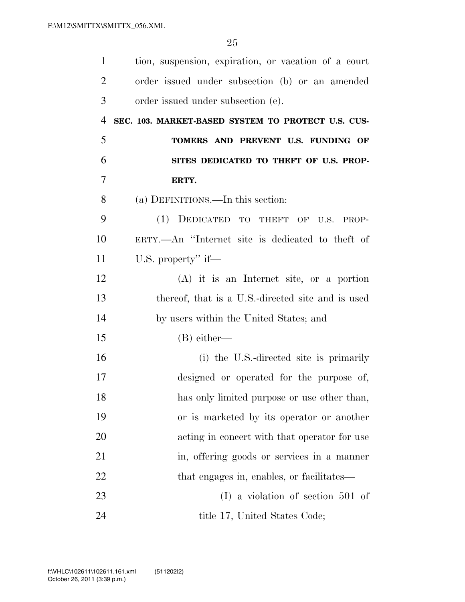| $\mathbf{1}$   | tion, suspension, expiration, or vacation of a court |
|----------------|------------------------------------------------------|
| $\overline{2}$ | order issued under subsection (b) or an amended      |
| 3              | order issued under subsection (e).                   |
| $\overline{4}$ | SEC. 103. MARKET-BASED SYSTEM TO PROTECT U.S. CUS-   |
| 5              | TOMERS AND PREVENT U.S. FUNDING OF                   |
| 6              | SITES DEDICATED TO THEFT OF U.S. PROP-               |
| 7              | ERTY.                                                |
| 8              | (a) DEFINITIONS.—In this section:                    |
| 9              | (1) DEDICATED TO THEFT OF U.S. PROP-                 |
| 10             | ERTY.—An "Internet site is dedicated to theft of     |
| 11             | U.S. property" if—                                   |
| 12             | $(A)$ it is an Internet site, or a portion           |
| 13             | thereof, that is a U.S.-directed site and is used    |
| 14             | by users within the United States; and               |
| 15             | $(B)$ either—                                        |
| 16             | (i) the U.S.-directed site is primarily              |
| 17             | designed or operated for the purpose of,             |
| 18             | has only limited purpose or use other than,          |
| 19             | or is marketed by its operator or another            |
| 20             | acting in concert with that operator for use         |
| 21             | in, offering goods or services in a manner           |
| 22             | that engages in, enables, or facilitates—            |
| 23             | $(I)$ a violation of section 501 of                  |
| 24             | title 17, United States Code;                        |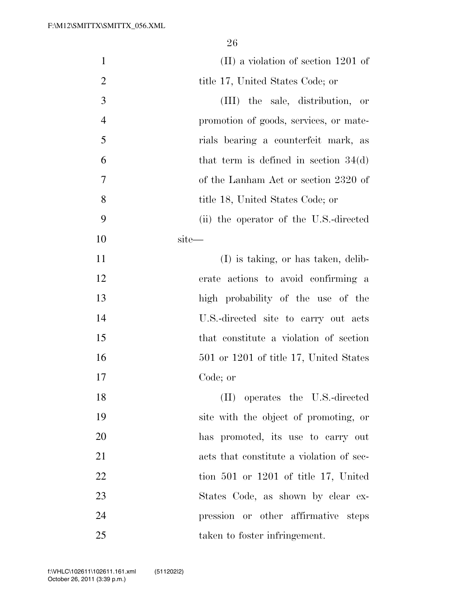| $\mathbf{1}$   | $(II)$ a violation of section 1201 of      |
|----------------|--------------------------------------------|
| $\overline{2}$ | title 17, United States Code; or           |
| 3              | (III) the sale, distribution, or           |
| $\overline{4}$ | promotion of goods, services, or mate-     |
| 5              | rials bearing a counterfeit mark, as       |
| 6              | that term is defined in section $34(d)$    |
| 7              | of the Lanham Act or section 2320 of       |
| 8              | title 18, United States Code; or           |
| 9              | (ii) the operator of the U.S.-directed     |
| 10             | site—                                      |
| 11             | (I) is taking, or has taken, delib-        |
| 12             | erate actions to avoid confirming a        |
| 13             | high probability of the use of the         |
| 14             | U.S.-directed site to carry out acts       |
| 15             | that constitute a violation of section     |
| 16             | $501$ or $1201$ of title 17, United States |
| 17             | Code; or                                   |
| 18             | (II) operates the U.S.-directed            |
| 19             | site with the object of promoting, or      |
| 20             | has promoted, its use to carry out         |
| 21             | acts that constitute a violation of sec-   |
| 22             | tion $501$ or $1201$ of title 17, United   |
| 23             | States Code, as shown by clear ex-         |
| 24             | pression or other affirmative steps        |
| 25             | taken to foster infringement.              |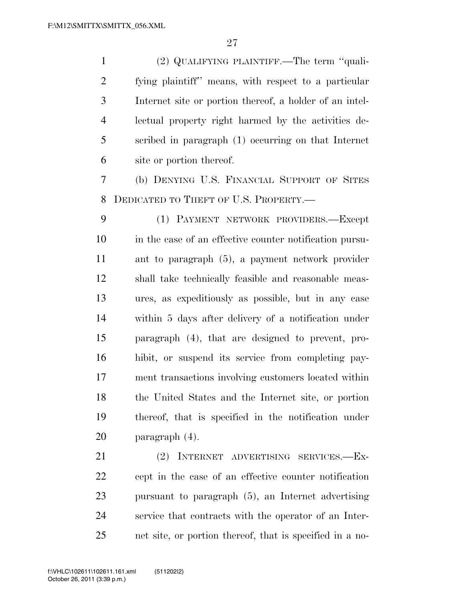(2) QUALIFYING PLAINTIFF.—The term ''quali- fying plaintiff'' means, with respect to a particular Internet site or portion thereof, a holder of an intel- lectual property right harmed by the activities de- scribed in paragraph (1) occurring on that Internet site or portion thereof.

 (b) DENYING U.S. FINANCIAL SUPPORT OF SITES DEDICATED TO THEFT OF U.S. PROPERTY.—

 (1) PAYMENT NETWORK PROVIDERS.—Except in the case of an effective counter notification pursu- ant to paragraph (5), a payment network provider shall take technically feasible and reasonable meas- ures, as expeditiously as possible, but in any case within 5 days after delivery of a notification under paragraph (4), that are designed to prevent, pro- hibit, or suspend its service from completing pay- ment transactions involving customers located within the United States and the Internet site, or portion thereof, that is specified in the notification under paragraph (4).

 (2) INTERNET ADVERTISING SERVICES.—Ex- cept in the case of an effective counter notification pursuant to paragraph (5), an Internet advertising service that contracts with the operator of an Inter-net site, or portion thereof, that is specified in a no-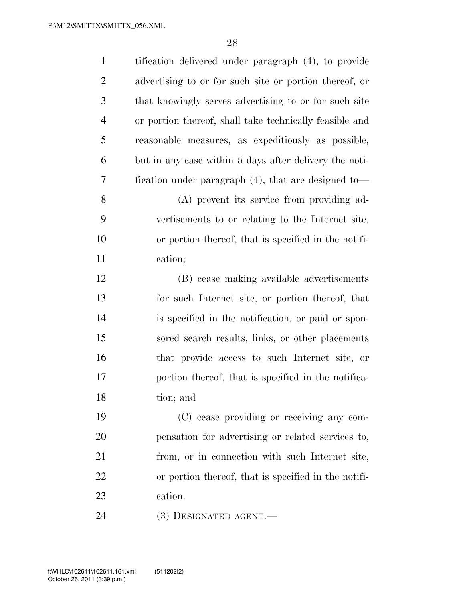| $\mathbf{1}$   | tification delivered under paragraph (4), to provide    |
|----------------|---------------------------------------------------------|
| $\overline{2}$ | advertising to or for such site or portion thereof, or  |
| 3              | that knowingly serves advertising to or for such site   |
| $\overline{4}$ | or portion thereof, shall take technically feasible and |
| 5              | reasonable measures, as expeditiously as possible,      |
| 6              | but in any case within 5 days after delivery the noti-  |
| 7              | fication under paragraph $(4)$ , that are designed to-  |
| 8              | (A) prevent its service from providing ad-              |
| 9              | vertisements to or relating to the Internet site,       |
| 10             | or portion thereof, that is specified in the notifi-    |
| 11             | cation;                                                 |
| 12             | (B) cease making available advertisements               |
| 13             | for such Internet site, or portion thereof, that        |
| 14             | is specified in the notification, or paid or spon-      |
| 15             | sored search results, links, or other placements        |
| 16             | that provide access to such Internet site, or           |
| 17             | portion thereof, that is specified in the notifica-     |
| 18             | tion; and                                               |
| 19             | (C) cease providing or receiving any com-               |
| 20             | pensation for advertising or related services to,       |
| 21             | from, or in connection with such Internet site,         |
| 22             | or portion thereof, that is specified in the notifi-    |
| 23             | cation.                                                 |
| 24             | $(3)$ DESIGNATED AGENT.—                                |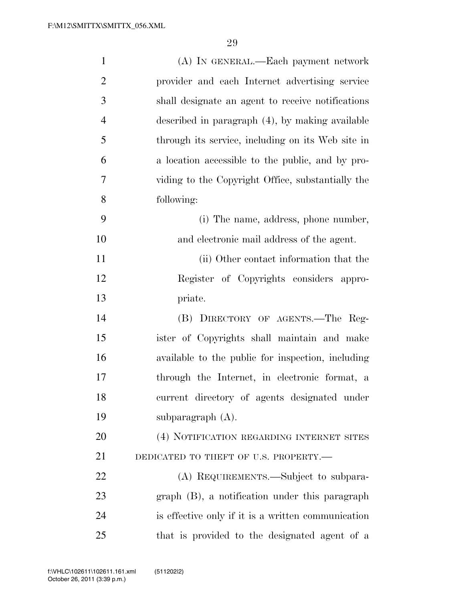| $\mathbf{1}$   | (A) IN GENERAL.—Each payment network               |
|----------------|----------------------------------------------------|
| $\overline{2}$ | provider and each Internet advertising service     |
| 3              | shall designate an agent to receive notifications  |
| $\overline{4}$ | described in paragraph (4), by making available    |
| 5              | through its service, including on its Web site in  |
| 6              | a location accessible to the public, and by pro-   |
| $\overline{7}$ | viding to the Copyright Office, substantially the  |
| 8              | following:                                         |
| 9              | (i) The name, address, phone number,               |
| 10             | and electronic mail address of the agent.          |
| 11             | (ii) Other contact information that the            |
| 12             | Register of Copyrights considers appro-            |
| 13             | priate.                                            |
| 14             | DIRECTORY OF AGENTS.—The Reg-<br>(B)               |
| 15             | ister of Copyrights shall maintain and make        |
| 16             | available to the public for inspection, including  |
| 17             | through the Internet, in electronic format, a      |
| 18             | current directory of agents designated under       |
| 19             | subparagraph $(A)$ .                               |
| 20             | (4) NOTIFICATION REGARDING INTERNET SITES          |
| 21             | DEDICATED TO THEFT OF U.S. PROPERTY.-              |
| 22             | (A) REQUIREMENTS.—Subject to subpara-              |
| 23             | graph (B), a notification under this paragraph     |
| 24             | is effective only if it is a written communication |
| 25             | that is provided to the designated agent of a      |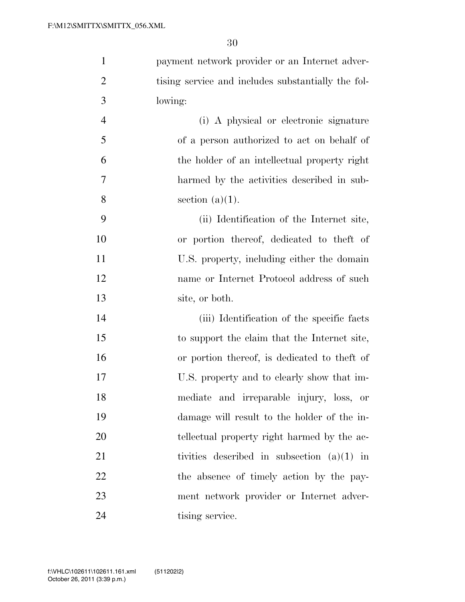| $\mathbf{1}$   | payment network provider or an Internet adver-     |
|----------------|----------------------------------------------------|
| $\overline{2}$ | tising service and includes substantially the fol- |
| 3              | lowing:                                            |
| $\overline{4}$ | (i) A physical or electronic signature             |
| 5              | of a person authorized to act on behalf of         |
| 6              | the holder of an intellectual property right       |
| 7              | harmed by the activities described in sub-         |
| 8              | section $(a)(1)$ .                                 |
| 9              | (ii) Identification of the Internet site,          |
| 10             | or portion thereof, dedicated to theft of          |
| 11             | U.S. property, including either the domain         |
| 12             | name or Internet Protocol address of such          |
| 13             | site, or both.                                     |
| 14             | (iii) Identification of the specific facts         |
| 15             | to support the claim that the Internet site,       |
| 16             | or portion thereof, is dedicated to theft of       |
| 17             | U.S. property and to clearly show that im-         |
| 18             | mediate and irreparable injury, loss, or           |
| 19             | damage will result to the holder of the in-        |
| 20             | tellectual property right harmed by the ac-        |
| 21             | tivities described in subsection $(a)(1)$ in       |
| 22             | the absence of timely action by the pay-           |
| 23             | ment network provider or Internet adver-           |
| 24             | tising service.                                    |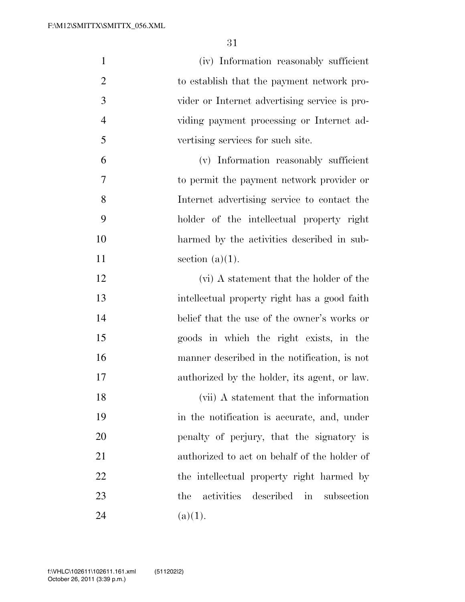| $\mathbf{1}$   | (iv) Information reasonably sufficient        |
|----------------|-----------------------------------------------|
| $\overline{2}$ | to establish that the payment network pro-    |
| 3              | vider or Internet advertising service is pro- |
| $\overline{4}$ | viding payment processing or Internet ad-     |
| 5              | vertising services for such site.             |
| 6              | (v) Information reasonably sufficient         |
| 7              | to permit the payment network provider or     |
| 8              | Internet advertising service to contact the   |
| 9              | holder of the intellectual property right     |
| 10             | harmed by the activities described in sub-    |
| 11             | section $(a)(1)$ .                            |
| 12             | (vi) A statement that the holder of the       |
| 13             | intellectual property right has a good faith  |
| 14             | belief that the use of the owner's works or   |
| 15             | goods in which the right exists, in the       |
| 16             | manner described in the notification, is not  |
| 17             | authorized by the holder, its agent, or law.  |
| 18             | (vii) A statement that the information        |
| 19             | in the notification is accurate, and, under   |
| 20             | penalty of perjury, that the signatory is     |
| 21             | authorized to act on behalf of the holder of  |
| 22             | the intellectual property right harmed by     |
| 23             | activities described in<br>subsection<br>the  |
| 24             | (a)(1).                                       |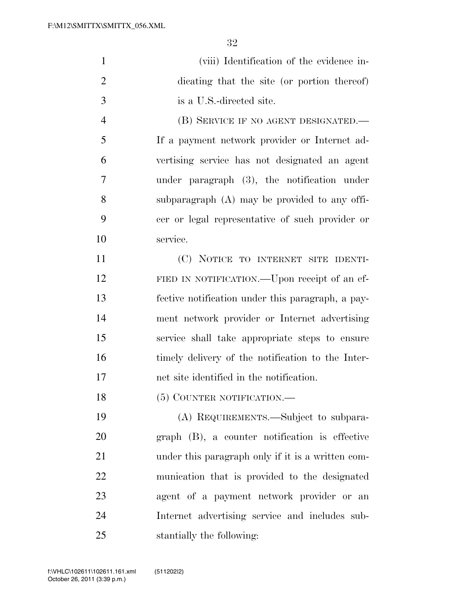| $\mathbf{1}$   | (viii) Identification of the evidence in-         |
|----------------|---------------------------------------------------|
| $\overline{2}$ | dicating that the site (or portion thereof)       |
| 3              | is a U.S.-directed site.                          |
| $\overline{4}$ | (B) SERVICE IF NO AGENT DESIGNATED.—              |
| 5              | If a payment network provider or Internet ad-     |
| 6              | vertising service has not designated an agent     |
| 7              | under paragraph $(3)$ , the notification under    |
| 8              | subparagraph (A) may be provided to any offi-     |
| 9              | cer or legal representative of such provider or   |
| 10             | service.                                          |
| 11             | (C) NOTICE TO INTERNET SITE IDENTI-               |
| 12             | FIED IN NOTIFICATION.—Upon receipt of an ef-      |
| 13             | fective notification under this paragraph, a pay- |
| 14             | ment network provider or Internet advertising     |
| 15             | service shall take appropriate steps to ensure    |
| 16             | timely delivery of the notification to the Inter- |
| 17             | net site identified in the notification.          |
| 18             | (5) COUNTER NOTIFICATION.-                        |
| 19             | (A) REQUIREMENTS.—Subject to subpara-             |
| 20             | graph (B), a counter notification is effective    |
| 21             | under this paragraph only if it is a written com- |
| 22             | munication that is provided to the designated     |
| 23             | agent of a payment network provider or an         |
| 24             | Internet advertising service and includes sub-    |
| 25             | stantially the following:                         |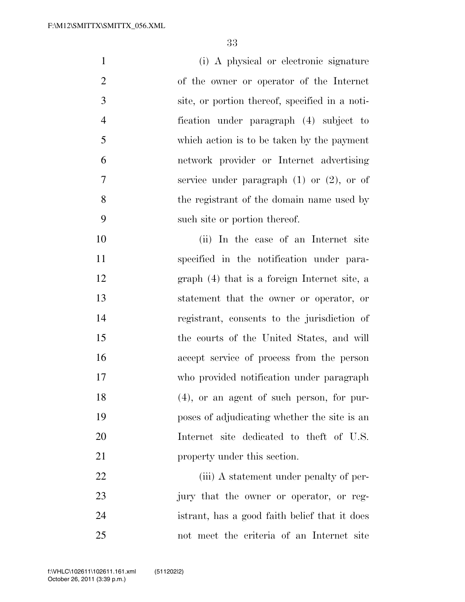| $\mathbf{1}$   | (i) A physical or electronic signature         |
|----------------|------------------------------------------------|
| $\overline{2}$ | of the owner or operator of the Internet       |
| 3              | site, or portion thereof, specified in a noti- |
| $\overline{4}$ | fication under paragraph (4) subject to        |
| 5              | which action is to be taken by the payment     |
| 6              | network provider or Internet advertising       |
| 7              | service under paragraph $(1)$ or $(2)$ , or of |
| 8              | the registrant of the domain name used by      |
| 9              | such site or portion thereof.                  |
| 10             | (ii) In the case of an Internet site           |
| 11             | specified in the notification under para-      |
| 12             | graph (4) that is a foreign Internet site, a   |
| 13             | statement that the owner or operator, or       |
| 14             | registrant, consents to the jurisdiction of    |
| 15             | the courts of the United States, and will      |
| 16             | accept service of process from the person      |
| 17             | who provided notification under paragraph      |
| 18             | $(4)$ , or an agent of such person, for pur-   |
| 19             | poses of adjudicating whether the site is an   |
| 20             | Internet site dedicated to theft of U.S.       |
| 21             | property under this section.                   |
| 22             | (iii) A statement under penalty of per-        |
| 23             | jury that the owner or operator, or reg-       |

 istrant, has a good faith belief that it does not meet the criteria of an Internet site

October 26, 2011 (3:39 p.m.) f:\VHLC\102611\102611.161.xml (511202|2)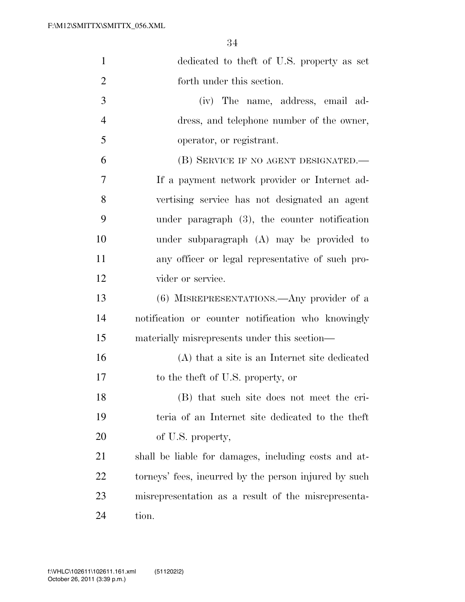| $\mathbf{1}$   | dedicated to the ft of U.S. property as set           |
|----------------|-------------------------------------------------------|
| $\overline{2}$ | forth under this section.                             |
| 3              | (iv) The name, address, email ad-                     |
| $\overline{4}$ | dress, and telephone number of the owner,             |
| 5              | operator, or registrant.                              |
| 6              | (B) SERVICE IF NO AGENT DESIGNATED.—                  |
| 7              | If a payment network provider or Internet ad-         |
| 8              | vertising service has not designated an agent         |
| 9              | under paragraph $(3)$ , the counter notification      |
| 10             | under subparagraph (A) may be provided to             |
| 11             | any officer or legal representative of such pro-      |
| 12             | vider or service.                                     |
| 13             | (6) MISREPRESENTATIONS.—Any provider of a             |
| 14             | notification or counter notification who knowingly    |
| 15             | materially misrepresents under this section—          |
| 16             | (A) that a site is an Internet site dedicated         |
| 17             | to the theft of U.S. property, or                     |
| 18             | (B) that such site does not meet the cri-             |
| 19             | teria of an Internet site dedicated to the theft      |
| 20             | of U.S. property,                                     |
| 21             | shall be liable for damages, including costs and at-  |
| <u>22</u>      | torneys' fees, incurred by the person injured by such |
| 23             | misrepresentation as a result of the misrepresenta-   |
| 24             | tion.                                                 |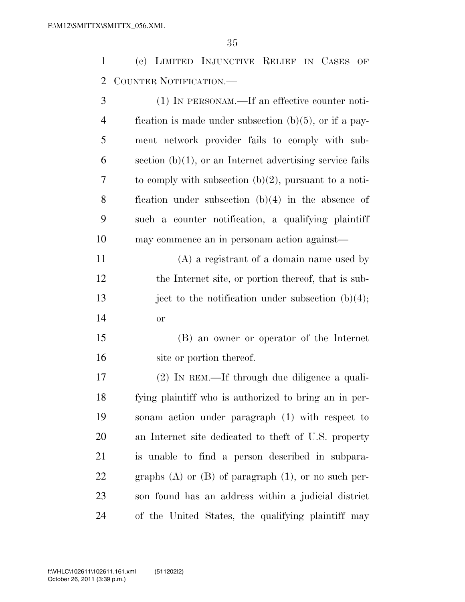(c) LIMITED INJUNCTIVE RELIEF IN CASES OF COUNTER NOTIFICATION.—

| 3              | (1) IN PERSONAM.—If an effective counter noti-              |
|----------------|-------------------------------------------------------------|
| $\overline{4}$ | fication is made under subsection $(b)(5)$ , or if a pay-   |
| 5              | ment network provider fails to comply with sub-             |
| 6              | section $(b)(1)$ , or an Internet advertising service fails |
| 7              | to comply with subsection $(b)(2)$ , pursuant to a noti-    |
| 8              | fication under subsection $(b)(4)$ in the absence of        |
| 9              | such a counter notification, a qualifying plaintiff         |
| 10             | may commence an in personam action against—                 |
| 11             | $(A)$ a registrant of a domain name used by                 |
| 12             | the Internet site, or portion thereof, that is sub-         |
| 13             | ject to the notification under subsection $(b)(4)$ ;        |
| 14             | <b>or</b>                                                   |
| 15             | (B) an owner or operator of the Internet                    |
| 16             | site or portion thereof.                                    |
| 17             | (2) IN REM.—If through due diligence a quali-               |
| 18             | fying plaintiff who is authorized to bring an in per-       |
| 19             | sonam action under paragraph (1) with respect to            |
| 20             | an Internet site dedicated to theft of U.S. property        |
| 21             | is unable to find a person described in subpara-            |
| 22             | graphs $(A)$ or $(B)$ of paragraph $(1)$ , or no such per-  |
| 23             | son found has an address within a judicial district         |
| 24             | of the United States, the qualifying plaintiff may          |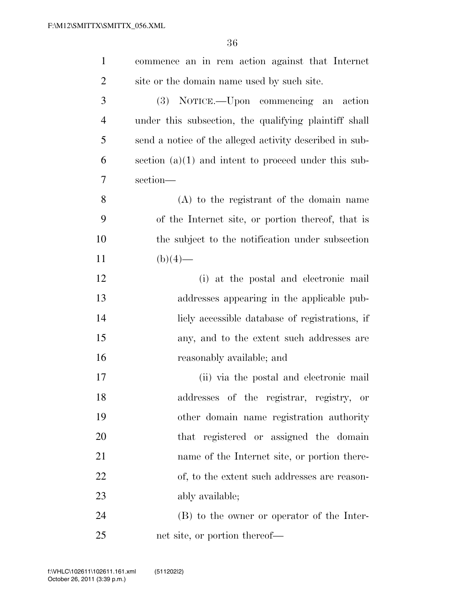| $\mathbf{1}$   | commence an in rem action against that Internet         |
|----------------|---------------------------------------------------------|
| $\overline{2}$ | site or the domain name used by such site.              |
| 3              | (3) NOTICE.—Upon commencing an action                   |
| $\overline{4}$ | under this subsection, the qualifying plaintiff shall   |
| 5              | send a notice of the alleged activity described in sub- |
| 6              | section $(a)(1)$ and intent to proceed under this sub-  |
| 7              | section-                                                |
| 8              | (A) to the registrant of the domain name                |
| 9              | of the Internet site, or portion thereof, that is       |
| 10             | the subject to the notification under subsection        |
| 11             | $(b)(4)$ —                                              |
| 12             | (i) at the postal and electronic mail                   |
| 13             | addresses appearing in the applicable pub-              |
| 14             | licly accessible database of registrations, if          |
| 15             | any, and to the extent such addresses are               |
| 16             | reasonably available; and                               |
| 17             | (ii) via the postal and electronic mail                 |
| 18             | addresses of the registrar, registry, or                |
| 19             | other domain name registration authority                |
| 20             | that registered or assigned the domain                  |
| 21             | name of the Internet site, or portion there-            |
| 22             | of, to the extent such addresses are reason-            |
| 23             | ably available;                                         |
| 24             | (B) to the owner or operator of the Inter-              |
| 25             | net site, or portion thereof—                           |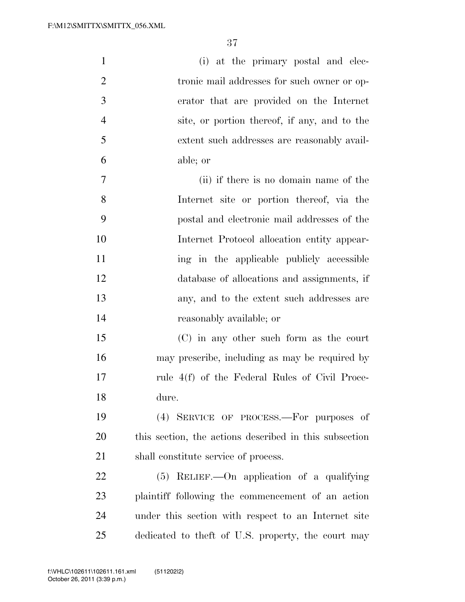| $\mathbf{1}$   | (i) at the primary postal and elec-                    |
|----------------|--------------------------------------------------------|
| $\overline{2}$ | tronic mail addresses for such owner or op-            |
| 3              | erator that are provided on the Internet               |
| $\overline{4}$ | site, or portion thereof, if any, and to the           |
| 5              | extent such addresses are reasonably avail-            |
| 6              | able; or                                               |
| 7              | (ii) if there is no domain name of the                 |
| 8              | Internet site or portion thereof, via the              |
| 9              | postal and electronic mail addresses of the            |
| 10             | Internet Protocol allocation entity appear-            |
| 11             | ing in the applicable publicly accessible              |
| 12             | database of allocations and assignments, if            |
| 13             | any, and to the extent such addresses are              |
| 14             | reasonably available; or                               |
| 15             | (C) in any other such form as the court                |
| 16             | may prescribe, including as may be required by         |
| 17             | rule 4(f) of the Federal Rules of Civil Proce-         |
| 18             | dure.                                                  |
| 19             | (4) SERVICE OF PROCESS.—For purposes of                |
| 20             | this section, the actions described in this subsection |
| 21             | shall constitute service of process.                   |
| <u>22</u>      | $(5)$ RELIEF.—On application of a qualifying           |
| 23             | plaintiff following the commencement of an action      |
| 24             | under this section with respect to an Internet site    |
| 25             | dedicated to theft of U.S. property, the court may     |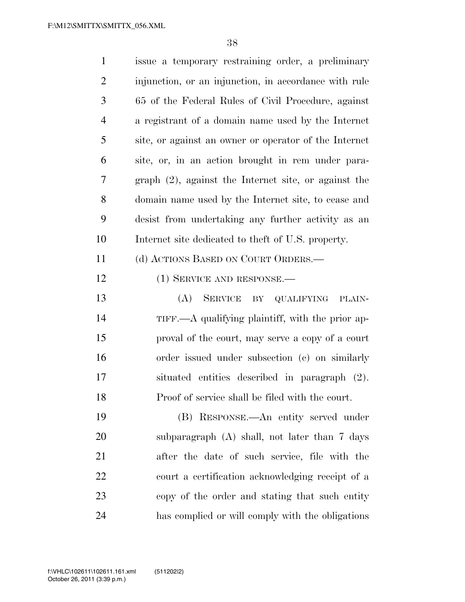| $\mathbf{1}$   | issue a temporary restraining order, a preliminary             |
|----------------|----------------------------------------------------------------|
| $\overline{2}$ | injunction, or an injunction, in accordance with rule          |
| 3              | 65 of the Federal Rules of Civil Procedure, against            |
| $\overline{4}$ | a registrant of a domain name used by the Internet             |
| 5              | site, or against an owner or operator of the Internet          |
| 6              | site, or, in an action brought in rem under para-              |
| 7              | graph $(2)$ , against the Internet site, or against the        |
| 8              | domain name used by the Internet site, to cease and            |
| 9              | desist from undertaking any further activity as an             |
| 10             | Internet site dedicated to the ft of U.S. property.            |
| 11             | (d) ACTIONS BASED ON COURT ORDERS.—                            |
| 12             | $(1)$ SERVICE AND RESPONSE.—                                   |
| 13             | (A) SERVICE BY QUALIFYING<br>PLAIN-                            |
| 14             | $TIFF. \rightarrow A$ qualifying plaintiff, with the prior ap- |
| 15             | proval of the court, may serve a copy of a court               |
| 16             | order issued under subsection (c) on similarly                 |
| 17             | situated entities described in paragraph (2).                  |
| 18             | Proof of service shall be filed with the court.                |
| 19             | (B) RESPONSE.—An entity served under                           |
| 20             | subparagraph (A) shall, not later than 7 days                  |
| 21             | after the date of such service, file with the                  |
| 22             | court a certification acknowledging receipt of a               |
| 23             | copy of the order and stating that such entity                 |
| 24             | has complied or will comply with the obligations               |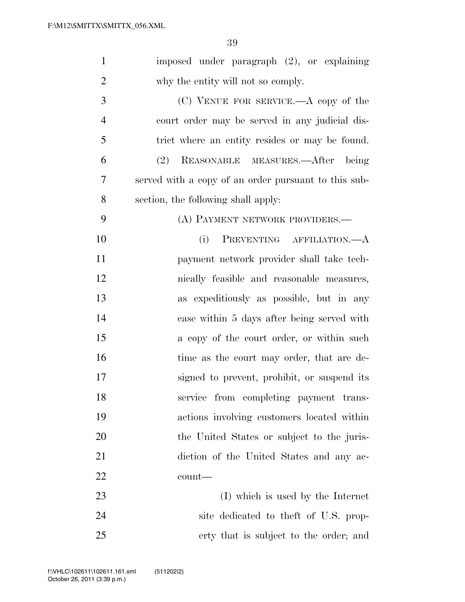| $\mathbf{1}$   | imposed under paragraph (2), or explaining           |
|----------------|------------------------------------------------------|
| $\overline{2}$ | why the entity will not so comply.                   |
| 3              | $(C)$ VENUE FOR SERVICE.—A copy of the               |
| $\overline{4}$ | court order may be served in any judicial dis-       |
| 5              | trict where an entity resides or may be found.       |
| 6              | REASONABLE MEASURES.—After being<br>(2)              |
| 7              | served with a copy of an order pursuant to this sub- |
| 8              | section, the following shall apply:                  |
| 9              | (A) PAYMENT NETWORK PROVIDERS.—                      |
| 10             | PREVENTING AFFILIATION.—A<br>(i)                     |
| 11             | payment network provider shall take tech-            |
| 12             | nically feasible and reasonable measures,            |
| 13             | as expeditiously as possible, but in any             |
| 14             | case within 5 days after being served with           |
| 15             | a copy of the court order, or within such            |
| 16             | time as the court may order, that are de-            |
| 17             | signed to prevent, prohibit, or suspend its          |
| 18             | service from completing payment trans-               |
| 19             | actions involving customers located within           |
| 20             | the United States or subject to the juris-           |
| 21             | diction of the United States and any ac-             |
| 22             | count—                                               |
| 23             | (I) which is used by the Internet                    |
| 24             | site dedicated to the ft of U.S. prop-               |
| 25             | erty that is subject to the order; and               |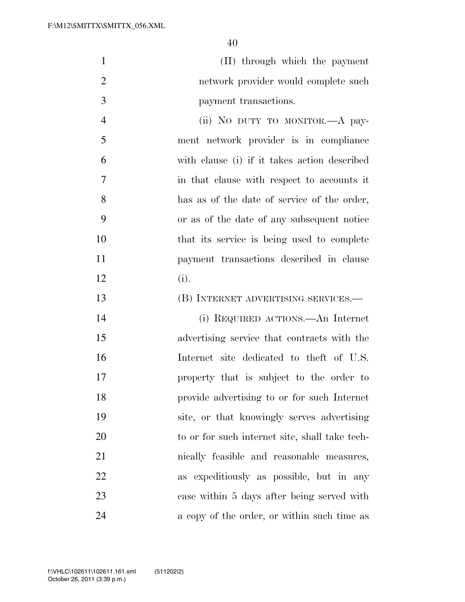(II) through which the payment network provider would complete such payment transactions.

 (ii) NO DUTY TO MONITOR.—A pay- ment network provider is in compliance with clause (i) if it takes action described in that clause with respect to accounts it has as of the date of service of the order, or as of the date of any subsequent notice that its service is being used to complete payment transactions described in clause (i).

(B) INTERNET ADVERTISING SERVICES.—

 (i) REQUIRED ACTIONS.—An Internet advertising service that contracts with the Internet site dedicated to theft of U.S. property that is subject to the order to provide advertising to or for such Internet site, or that knowingly serves advertising to or for such internet site, shall take tech- nically feasible and reasonable measures, as expeditiously as possible, but in any case within 5 days after being served with 24 a copy of the order, or within such time as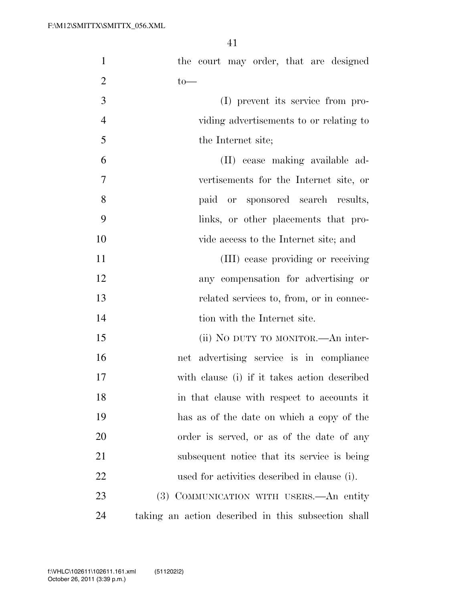| $\mathbf{1}$   | the court may order, that are designed              |
|----------------|-----------------------------------------------------|
| $\overline{2}$ | $to-$                                               |
| 3              | (I) prevent its service from pro-                   |
| $\overline{4}$ | viding advertisements to or relating to             |
| 5              | the Internet site;                                  |
| 6              | (II) cease making available ad-                     |
| $\overline{7}$ | vertisements for the Internet site, or              |
| 8              | paid or sponsored search results,                   |
| 9              | links, or other placements that pro-                |
| 10             | vide access to the Internet site; and               |
| 11             | (III) cease providing or receiving                  |
| 12             | any compensation for advertising or                 |
| 13             | related services to, from, or in connec-            |
| 14             | tion with the Internet site.                        |
| 15             | (ii) NO DUTY TO MONITOR.—An inter-                  |
| 16             | net advertising service is in compliance            |
| 17             | with clause (i) if it takes action described        |
| 18             | in that clause with respect to accounts it          |
| 19             | has as of the date on which a copy of the           |
| <b>20</b>      | order is served, or as of the date of any           |
| 21             | subsequent notice that its service is being         |
| 22             | used for activities described in clause (i).        |
| 23             | (3) COMMUNICATION WITH USERS.—An entity             |
| 24             | taking an action described in this subsection shall |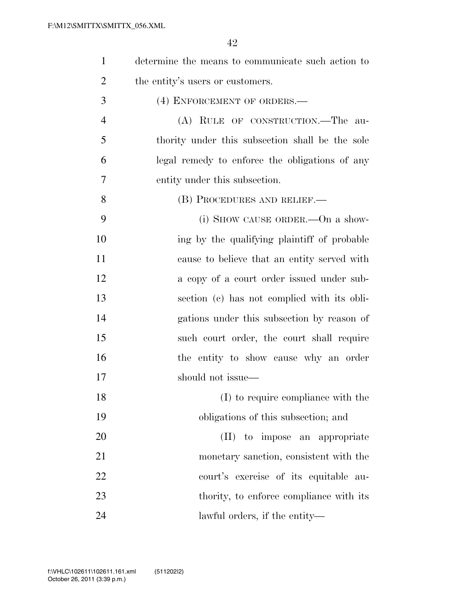| $\mathbf{1}$   | determine the means to communicate such action to |
|----------------|---------------------------------------------------|
| $\overline{2}$ | the entity's users or customers.                  |
| 3              | (4) ENFORCEMENT OF ORDERS.—                       |
| $\overline{4}$ | (A) RULE OF CONSTRUCTION.—The au-                 |
| 5              | thority under this subsection shall be the sole   |
| 6              | legal remedy to enforce the obligations of any    |
| 7              | entity under this subsection.                     |
| 8              | (B) PROCEDURES AND RELIEF.—                       |
| 9              | (i) SHOW CAUSE ORDER.—On a show-                  |
| 10             | ing by the qualifying plaintiff of probable       |
| 11             | cause to believe that an entity served with       |
| 12             | a copy of a court order issued under sub-         |
| 13             | section (c) has not complied with its obli-       |
| 14             | gations under this subsection by reason of        |
| 15             | such court order, the court shall require         |
| 16             | the entity to show cause why an order             |
| 17             | should not issue—                                 |
| 18             | (I) to require compliance with the                |
| 19             | obligations of this subsection; and               |
| 20             | (II) to impose an appropriate                     |
| 21             | monetary sanction, consistent with the            |
| 22             | court's exercise of its equitable au-             |
| 23             | thority, to enforce compliance with its           |
| 24             | lawful orders, if the entity—                     |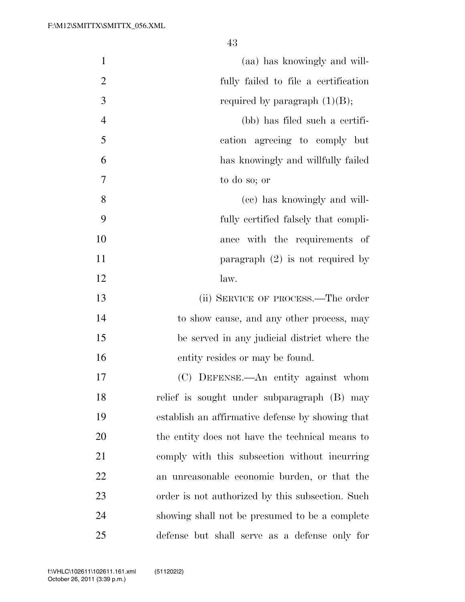| $\mathbf{1}$   | (aa) has knowingly and will-                     |
|----------------|--------------------------------------------------|
| $\mathbf{2}$   | fully failed to file a certification             |
| 3              | required by paragraph $(1)(B)$ ;                 |
| $\overline{4}$ | (bb) has filed such a certifi-                   |
| 5              | cation agreeing to comply but                    |
| 6              | has knowingly and willfully failed               |
| $\tau$         | to do so; or                                     |
| 8              | (cc) has knowingly and will-                     |
| 9              | fully certified falsely that compli-             |
| 10             | ance with the requirements of                    |
| 11             | paragraph $(2)$ is not required by               |
| 12             | law.                                             |
| 13             | (ii) SERVICE OF PROCESS.—The order               |
| 14             | to show cause, and any other process, may        |
| 15             | be served in any judicial district where the     |
| 16             | entity resides or may be found.                  |
| 17             | (C) DEFENSE.—An entity against whom              |
| 18             | relief is sought under subparagraph (B) may      |
| 19             | establish an affirmative defense by showing that |
| 20             | the entity does not have the technical means to  |
| 21             | comply with this subsection without incurring    |
| 22             | an unreasonable economic burden, or that the     |
| 23             | order is not authorized by this subsection. Such |
| 24             | showing shall not be presumed to be a complete   |
| 25             | defense but shall serve as a defense only for    |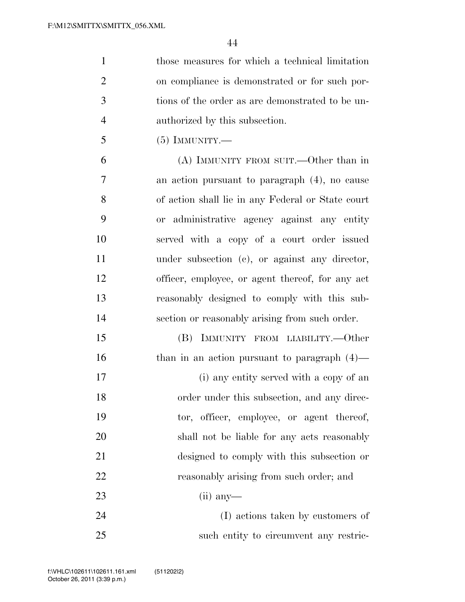| $\mathbf{1}$   | those measures for which a technical limitation   |
|----------------|---------------------------------------------------|
| $\overline{2}$ | on compliance is demonstrated or for such por-    |
| 3              | tions of the order as are demonstrated to be un-  |
| $\overline{4}$ | authorized by this subsection.                    |
| 5              | $(5)$ IMMUNITY.—                                  |
| 6              | (A) IMMUNITY FROM SUIT.—Other than in             |
| 7              | an action pursuant to paragraph (4), no cause     |
| 8              | of action shall lie in any Federal or State court |
| 9              | or administrative agency against any entity       |
| 10             | served with a copy of a court order issued        |
| 11             | under subsection $(c)$ , or against any director, |
| 12             | officer, employee, or agent thereof, for any act  |
| 13             | reasonably designed to comply with this sub-      |
| 14             | section or reasonably arising from such order.    |
| 15             | IMMUNITY FROM LIABILITY.—Other<br>(B)             |
| 16             | than in an action pursuant to paragraph $(4)$ —   |
| 17             | (i) any entity served with a copy of an           |
| 18             | order under this subsection, and any direc-       |
| 19             | tor, officer, employee, or agent thereof,         |
| 20             | shall not be liable for any acts reasonably       |
| 21             | designed to comply with this subsection or        |
| 22             | reasonably arising from such order; and           |
| 23             | $(ii)$ any-                                       |
| 24             | (I) actions taken by customers of                 |
| 25             | such entity to circumvent any restric-            |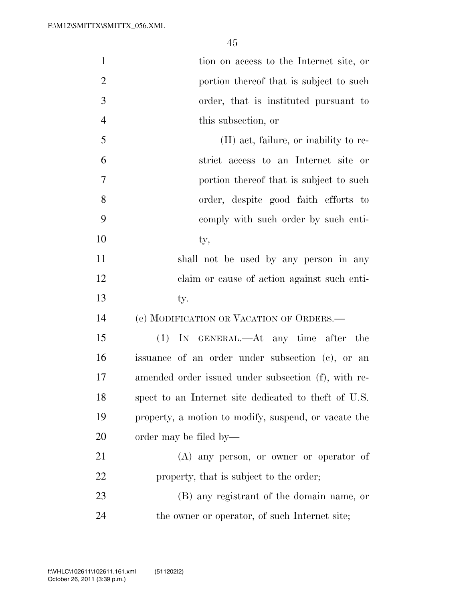| $\mathbf{1}$   | tion on access to the Internet site, or               |
|----------------|-------------------------------------------------------|
| $\overline{2}$ | portion thereof that is subject to such               |
| 3              | order, that is instituted pursuant to                 |
| $\overline{4}$ | this subsection, or                                   |
| 5              | (II) act, failure, or inability to re-                |
| 6              | strict access to an Internet site or                  |
| 7              | portion thereof that is subject to such               |
| 8              | order, despite good faith efforts to                  |
| 9              | comply with such order by such enti-                  |
| 10             | ty,                                                   |
| 11             | shall not be used by any person in any                |
| 12             | claim or cause of action against such enti-           |
| 13             | ty.                                                   |
| 14             | (e) MODIFICATION OR VACATION OF ORDERS.—              |
|                |                                                       |
| 15             | (1) IN GENERAL.—At any time after the                 |
| 16             | issuance of an order under subsection (c), or an      |
| 17             | amended order issued under subsection (f), with re-   |
| 18             | spect to an Internet site dedicated to the ft of U.S. |
| 19             | property, a motion to modify, suspend, or vacate the  |
| 20             | order may be filed by—                                |
| 21             | $(A)$ any person, or owner or operator of             |
| 22             | property, that is subject to the order;               |
| 23             | (B) any registrant of the domain name, or             |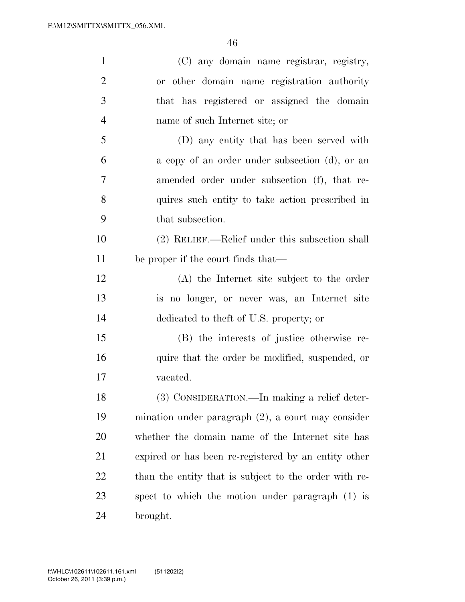| $\mathbf{1}$   | (C) any domain name registrar, registry,              |
|----------------|-------------------------------------------------------|
| $\overline{2}$ | or other domain name registration authority           |
| 3              | that has registered or assigned the domain            |
| $\overline{4}$ | name of such Internet site; or                        |
| 5              | (D) any entity that has been served with              |
| 6              | a copy of an order under subsection (d), or an        |
| $\overline{7}$ | amended order under subsection (f), that re-          |
| 8              | quires such entity to take action prescribed in       |
| 9              | that subsection.                                      |
| 10             | (2) RELIEF.—Relief under this subsection shall        |
| 11             | be proper if the court finds that—                    |
| 12             | (A) the Internet site subject to the order            |
| 13             | is no longer, or never was, an Internet site          |
| 14             | dedicated to theft of U.S. property; or               |
| 15             | (B) the interests of justice otherwise re-            |
| 16             | quire that the order be modified, suspended, or       |
| 17             | vacated.                                              |
| 18             | (3) CONSIDERATION.—In making a relief deter-          |
| 19             | mination under paragraph $(2)$ , a court may consider |
| 20             | whether the domain name of the Internet site has      |
| 21             | expired or has been re-registered by an entity other  |
| 22             | than the entity that is subject to the order with re- |
| 23             | spect to which the motion under paragraph (1) is      |
| 24             | brought.                                              |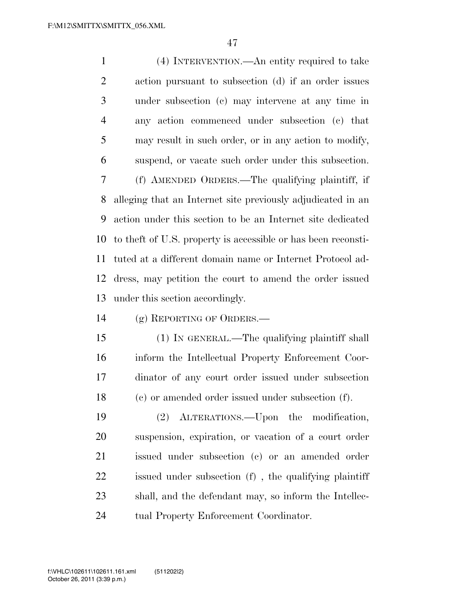(4) INTERVENTION.—An entity required to take action pursuant to subsection (d) if an order issues under subsection (c) may intervene at any time in any action commenced under subsection (c) that may result in such order, or in any action to modify, suspend, or vacate such order under this subsection. (f) AMENDED ORDERS.—The qualifying plaintiff, if alleging that an Internet site previously adjudicated in an action under this section to be an Internet site dedicated to theft of U.S. property is accessible or has been reconsti- tuted at a different domain name or Internet Protocol ad- dress, may petition the court to amend the order issued under this section accordingly.

(g) REPORTING OF ORDERS.—

 (1) IN GENERAL.—The qualifying plaintiff shall inform the Intellectual Property Enforcement Coor- dinator of any court order issued under subsection (c) or amended order issued under subsection (f).

 (2) ALTERATIONS.—Upon the modification, suspension, expiration, or vacation of a court order issued under subsection (c) or an amended order issued under subsection (f) , the qualifying plaintiff shall, and the defendant may, so inform the Intellec-tual Property Enforcement Coordinator.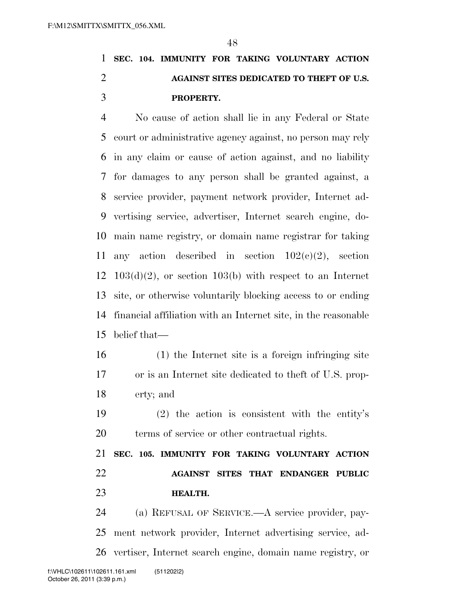## **SEC. 104. IMMUNITY FOR TAKING VOLUNTARY ACTION AGAINST SITES DEDICATED TO THEFT OF U.S. PROPERTY.**

 No cause of action shall lie in any Federal or State court or administrative agency against, no person may rely in any claim or cause of action against, and no liability for damages to any person shall be granted against, a service provider, payment network provider, Internet ad- vertising service, advertiser, Internet search engine, do- main name registry, or domain name registrar for taking 11 any action described in section  $102(c)(2)$ , section  $12 \quad 103(d)(2)$ , or section  $103(b)$  with respect to an Internet site, or otherwise voluntarily blocking access to or ending financial affiliation with an Internet site, in the reasonable belief that—

- (1) the Internet site is a foreign infringing site or is an Internet site dedicated to theft of U.S. prop-erty; and
- (2) the action is consistent with the entity's terms of service or other contractual rights.

 **SEC. 105. IMMUNITY FOR TAKING VOLUNTARY ACTION AGAINST SITES THAT ENDANGER PUBLIC HEALTH.** 

 (a) REFUSAL OF SERVICE.—A service provider, pay- ment network provider, Internet advertising service, ad-vertiser, Internet search engine, domain name registry, or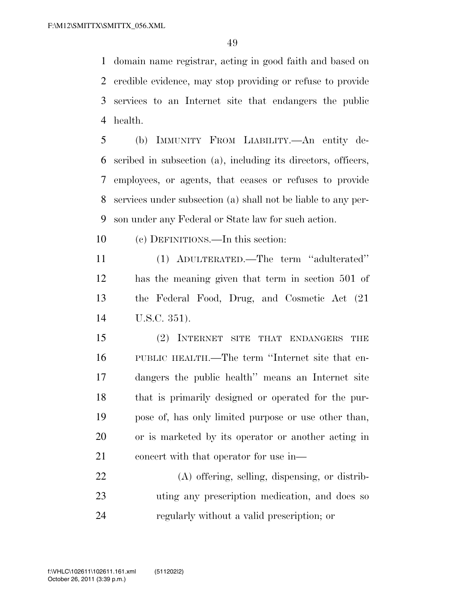domain name registrar, acting in good faith and based on credible evidence, may stop providing or refuse to provide services to an Internet site that endangers the public health.

 (b) IMMUNITY FROM LIABILITY.—An entity de- scribed in subsection (a), including its directors, officers, employees, or agents, that ceases or refuses to provide services under subsection (a) shall not be liable to any per-son under any Federal or State law for such action.

(c) DEFINITIONS.—In this section:

 (1) ADULTERATED.—The term ''adulterated'' has the meaning given that term in section 501 of the Federal Food, Drug, and Cosmetic Act (21 U.S.C. 351).

 (2) INTERNET SITE THAT ENDANGERS THE PUBLIC HEALTH.—The term ''Internet site that en- dangers the public health'' means an Internet site that is primarily designed or operated for the pur- pose of, has only limited purpose or use other than, or is marketed by its operator or another acting in 21 concert with that operator for use in—

 (A) offering, selling, dispensing, or distrib- uting any prescription medication, and does so regularly without a valid prescription; or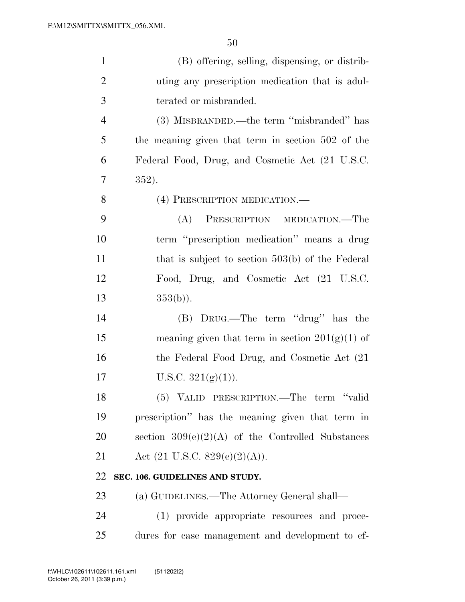| $\mathbf{1}$   | (B) offering, selling, dispensing, or distrib-      |
|----------------|-----------------------------------------------------|
| $\overline{2}$ | uting any prescription medication that is adul-     |
| 3              | terated or misbranded.                              |
| $\overline{4}$ | (3) MISBRANDED.—the term "misbranded" has           |
| 5              | the meaning given that term in section 502 of the   |
| 6              | Federal Food, Drug, and Cosmetic Act (21 U.S.C.     |
| 7              | 352).                                               |
| 8              | (4) PRESCRIPTION MEDICATION.—                       |
| 9              | PRESCRIPTION MEDICATION.—The<br>(A)                 |
| 10             | term "prescription medication" means a drug         |
| 11             | that is subject to section $503(b)$ of the Federal  |
| 12             | Food, Drug, and Cosmetic Act (21 U.S.C.             |
| 13             | $353(b)$ ).                                         |
| 14             | (B) DRUG.—The term "drug" has the                   |
| 15             | meaning given that term in section $201(g)(1)$ of   |
| 16             | the Federal Food Drug, and Cosmetic Act (21)        |
| 17             | U.S.C. $321(g)(1)$ ).                               |
| 18             | (5) VALID PRESCRIPTION.—The term "valid             |
| 19             | prescription" has the meaning given that term in    |
| 20             | section $309(e)(2)(A)$ of the Controlled Substances |
| 21             | Act $(21 \text{ U.S.C. } 829(e)(2)(A)).$            |
| 22             | SEC. 106. GUIDELINES AND STUDY.                     |
| 23             | (a) GUIDELINES.—The Attorney General shall—         |
| 24             | (1) provide appropriate resources and proce-        |
| 25             | dures for case management and development to ef-    |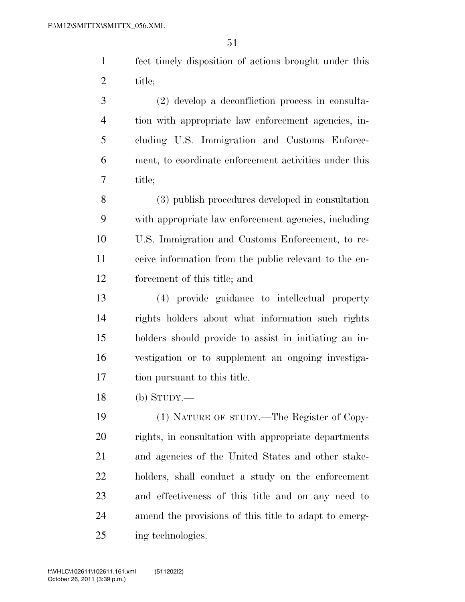fect timely disposition of actions brought under this title;

 (2) develop a deconfliction process in consulta- tion with appropriate law enforcement agencies, in- cluding U.S. Immigration and Customs Enforce- ment, to coordinate enforcement activities under this title;

 (3) publish procedures developed in consultation with appropriate law enforcement agencies, including U.S. Immigration and Customs Enforcement, to re- ceive information from the public relevant to the en-forcement of this title; and

 (4) provide guidance to intellectual property rights holders about what information such rights holders should provide to assist in initiating an in- vestigation or to supplement an ongoing investiga-tion pursuant to this title.

(b) STUDY.—

 (1) NATURE OF STUDY.—The Register of Copy- rights, in consultation with appropriate departments and agencies of the United States and other stake- holders, shall conduct a study on the enforcement and effectiveness of this title and on any need to amend the provisions of this title to adapt to emerg-ing technologies.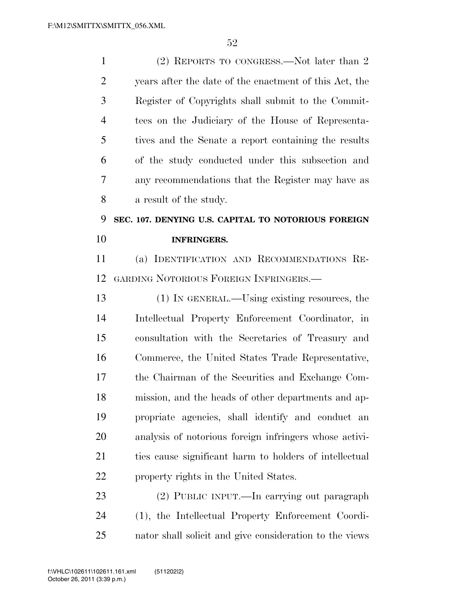1 (2) REPORTS TO CONGRESS.—Not later than 2 years after the date of the enactment of this Act, the Register of Copyrights shall submit to the Commit- tees on the Judiciary of the House of Representa- tives and the Senate a report containing the results of the study conducted under this subsection and any recommendations that the Register may have as a result of the study. **SEC. 107. DENYING U.S. CAPITAL TO NOTORIOUS FOREIGN INFRINGERS.**  (a) IDENTIFICATION AND RECOMMENDATIONS RE- GARDING NOTORIOUS FOREIGN INFRINGERS.— (1) IN GENERAL.—Using existing resources, the Intellectual Property Enforcement Coordinator, in consultation with the Secretaries of Treasury and Commerce, the United States Trade Representative, the Chairman of the Securities and Exchange Com- mission, and the heads of other departments and ap- propriate agencies, shall identify and conduct an analysis of notorious foreign infringers whose activi- ties cause significant harm to holders of intellectual property rights in the United States. (2) PUBLIC INPUT.—In carrying out paragraph (1), the Intellectual Property Enforcement Coordi-

nator shall solicit and give consideration to the views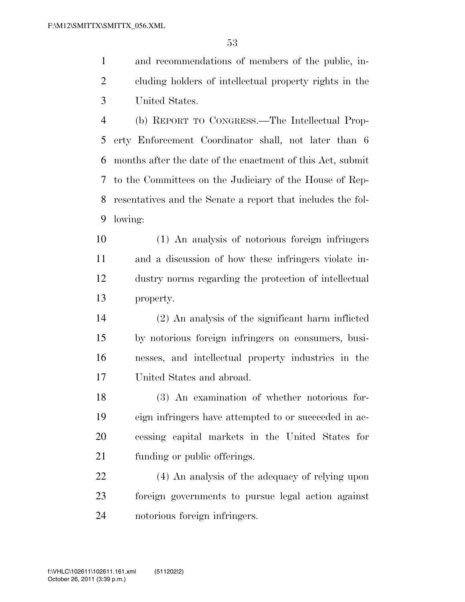and recommendations of members of the public, in- cluding holders of intellectual property rights in the United States.

 (b) REPORT TO CONGRESS.—The Intellectual Prop- erty Enforcement Coordinator shall, not later than 6 months after the date of the enactment of this Act, submit to the Committees on the Judiciary of the House of Rep- resentatives and the Senate a report that includes the fol-lowing:

 (1) An analysis of notorious foreign infringers and a discussion of how these infringers violate in- dustry norms regarding the protection of intellectual property.

 (2) An analysis of the significant harm inflicted by notorious foreign infringers on consumers, busi- nesses, and intellectual property industries in the United States and abroad.

 (3) An examination of whether notorious for- eign infringers have attempted to or succeeded in ac- cessing capital markets in the United States for funding or public offerings.

 (4) An analysis of the adequacy of relying upon foreign governments to pursue legal action against notorious foreign infringers.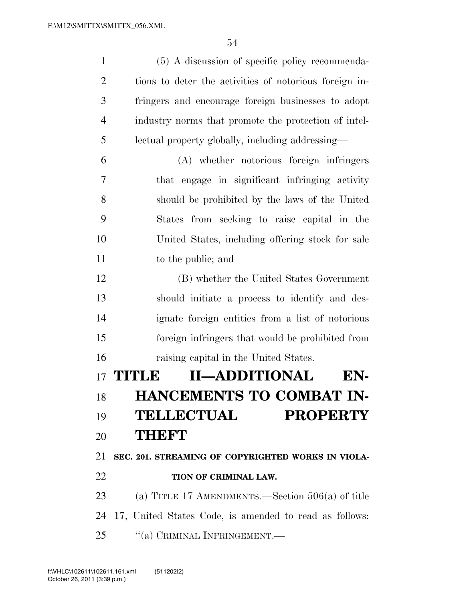| $\mathbf{1}$   | (5) A discussion of specific policy recommenda-        |
|----------------|--------------------------------------------------------|
| $\overline{2}$ | tions to deter the activities of notorious foreign in- |
| 3              | fringers and encourage foreign businesses to adopt     |
| 4              | industry norms that promote the protection of intel-   |
| 5              | lectual property globally, including addressing—       |
| 6              | (A) whether notorious foreign infringers               |
| 7              | that engage in significant infringing activity         |
| 8              | should be prohibited by the laws of the United         |
| 9              | States from seeking to raise capital in the            |
| 10             | United States, including offering stock for sale       |
| 11             | to the public; and                                     |
| 12             | (B) whether the United States Government               |
| 13             | should initiate a process to identify and des-         |
| 14             | ignate foreign entities from a list of notorious       |
| 15             | foreign infringers that would be prohibited from       |
| 16             | raising capital in the United States.                  |
|                | <b>II-ADDITIONAL</b><br>17 <b>TITLE</b><br>EN-         |
| 18             | HANCEMENTS TO COMBAT IN-                               |
| 19             | <b>TELLECTUAL</b><br><b>PROPERTY</b>                   |
| 20             | <b>THEFT</b>                                           |
| 21             | SEC. 201. STREAMING OF COPYRIGHTED WORKS IN VIOLA-     |
| 22             | TION OF CRIMINAL LAW.                                  |
| 23             | (a) TITLE 17 AMENDMENTS.—Section $506(a)$ of title     |
| 24             | 17, United States Code, is amended to read as follows: |
| 25             | "(a) CRIMINAL INFRINGEMENT.—                           |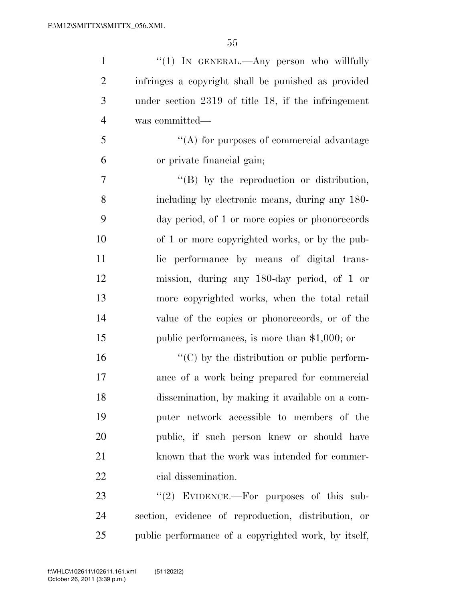| $\mathbf{1}$   | " $(1)$ In GENERAL.—Any person who willfully        |
|----------------|-----------------------------------------------------|
| $\overline{2}$ | infringes a copyright shall be punished as provided |
| 3              | under section 2319 of title 18, if the infringement |
| $\overline{4}$ | was committed—                                      |
| 5              | "(A) for purposes of commercial advantage           |
| 6              | or private financial gain;                          |
| $\overline{7}$ | $\lq\lq (B)$ by the reproduction or distribution,   |
| 8              | including by electronic means, during any 180-      |
| 9              | day period, of 1 or more copies or phonorecords     |
| 10             | of 1 or more copyrighted works, or by the pub-      |
| 11             | lic performance by means of digital trans-          |
| 12             | mission, during any 180-day period, of 1 or         |
| 13             | more copyrighted works, when the total retail       |
| 14             | value of the copies or phonorecords, or of the      |
| 15             | public performances, is more than $$1,000$ ; or     |
| 16             | $\lq\lq$ (C) by the distribution or public perform- |
| 17             | ance of a work being prepared for commercial        |
| 18             | dissemination, by making it available on a com-     |
| 19             | puter network accessible to members of the          |
| 20             | public, if such person knew or should have          |
| 21             | known that the work was intended for commer-        |
| 22             | cial dissemination.                                 |
| 23             | " $(2)$ EVIDENCE.—For purposes of this sub-         |
| $2\pi$         | soction ovidence of reproduction distribution or    |

 section, evidence of reproduction, distribution, or public performance of a copyrighted work, by itself,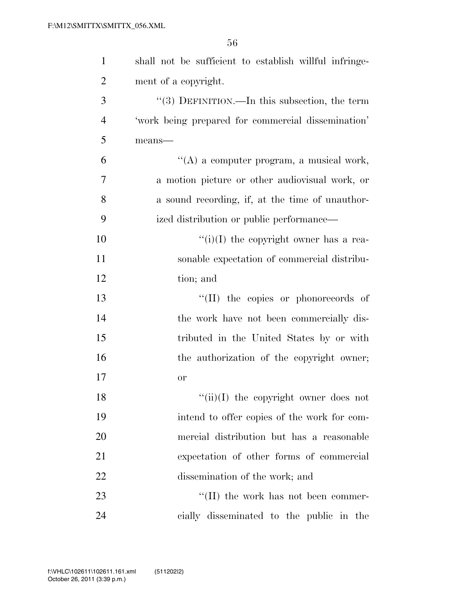| $\mathbf{1}$   | shall not be sufficient to establish willful infringe- |
|----------------|--------------------------------------------------------|
| $\overline{2}$ | ment of a copyright.                                   |
| 3              | $\lq(3)$ DEFINITION.—In this subsection, the term      |
| $\overline{4}$ | 'work being prepared for commercial dissemination'     |
| 5              | means-                                                 |
| 6              | $\lq\lq$ a computer program, a musical work,           |
| 7              | a motion picture or other audiovisual work, or         |
| 8              | a sound recording, if, at the time of unauthor-        |
| 9              | ized distribution or public performance—               |
| 10             | "(i)(I) the copyright owner has a rea-                 |
| 11             | sonable expectation of commercial distribu-            |
| 12             | tion; and                                              |
| 13             | "(II) the copies or phonorecords of                    |
| 14             | the work have not been commercially dis-               |
| 15             | tributed in the United States by or with               |
| 16             | the authorization of the copyright owner;              |
| 17             | or                                                     |
| 18             | $``(ii)(I)$ the copyright owner does not               |
| 19             | intend to offer copies of the work for com-            |
| 20             | mercial distribution but has a reasonable              |
| 21             | expectation of other forms of commercial               |
| 22             | dissemination of the work; and                         |
| 23             | $\lq\lq$ (II) the work has not been commer-            |
| 24             | cially disseminated to the public in the               |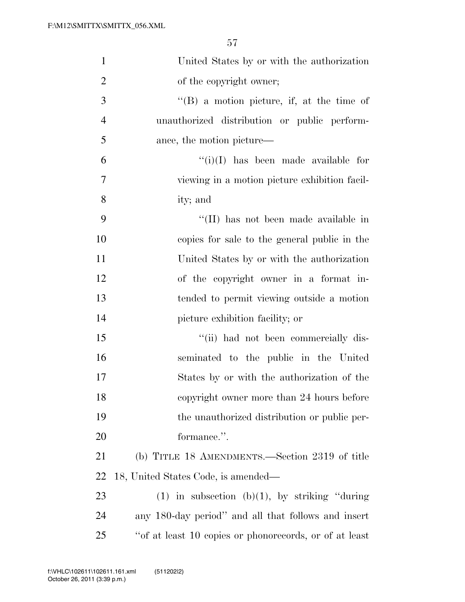| $\mathbf{1}$     | United States by or with the authorization             |
|------------------|--------------------------------------------------------|
| $\overline{2}$   | of the copyright owner;                                |
| $\overline{3}$   | $\lq\lq (B)$ a motion picture, if, at the time of      |
| $\overline{4}$   | unauthorized distribution or public perform-           |
| 5                | ance, the motion picture—                              |
| 6                | $\lq\lq(i)(I)$ has been made available for             |
| $\boldsymbol{7}$ | viewing in a motion picture exhibition facil-          |
| 8                | ity; and                                               |
| 9                | "(II) has not been made available in                   |
| 10               | copies for sale to the general public in the           |
| 11               | United States by or with the authorization             |
| 12               | of the copyright owner in a format in-                 |
| 13               | tended to permit viewing outside a motion              |
| 14               | picture exhibition facility; or                        |
| 15               | "(ii) had not been commercially dis-                   |
| 16               | seminated to the public in the United                  |
| 17               | States by or with the authorization of the             |
| 18               | copyright owner more than 24 hours before              |
| 19               | the unauthorized distribution or public per-           |
| 20               | formance.".                                            |
| 21               | (b) TITLE 18 AMENDMENTS.—Section 2319 of title         |
| 22               | 18, United States Code, is amended—                    |
| 23               | $(1)$ in subsection $(b)(1)$ , by striking "during"    |
| 24               | any 180-day period" and all that follows and insert    |
| 25               | "of at least 10 copies or phonorecords, or of at least |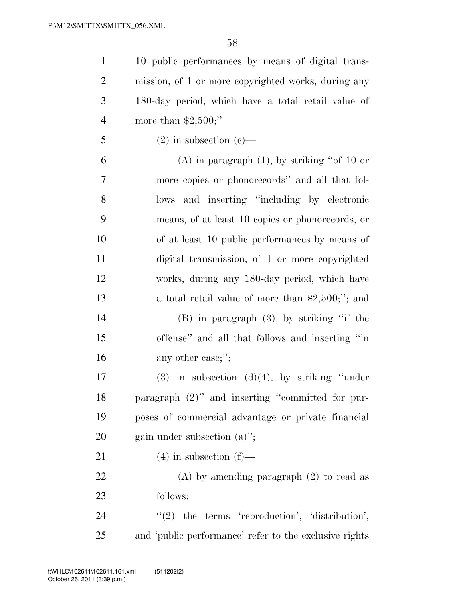10 public performances by means of digital trans- mission, of 1 or more copyrighted works, during any 180-day period, which have a total retail value of more than \$2,500;'' 5 (2) in subsection (c)— 6 (A) in paragraph  $(1)$ , by striking "of 10 or more copies or phonorecords'' and all that fol- lows and inserting ''including by electronic means, of at least 10 copies or phonorecords, or of at least 10 public performances by means of digital transmission, of 1 or more copyrighted works, during any 180-day period, which have

 a total retail value of more than \$2,500;''; and (B) in paragraph (3), by striking ''if the offense'' and all that follows and inserting ''in

16 any other case;";

 (3) in subsection (d)(4), by striking ''under paragraph (2)'' and inserting ''committed for pur- poses of commercial advantage or private financial gain under subsection (a)'';

21 (4) in subsection  $(f)$ —

 (A) by amending paragraph (2) to read as follows:

24 "(2) the terms 'reproduction', 'distribution', and 'public performance' refer to the exclusive rights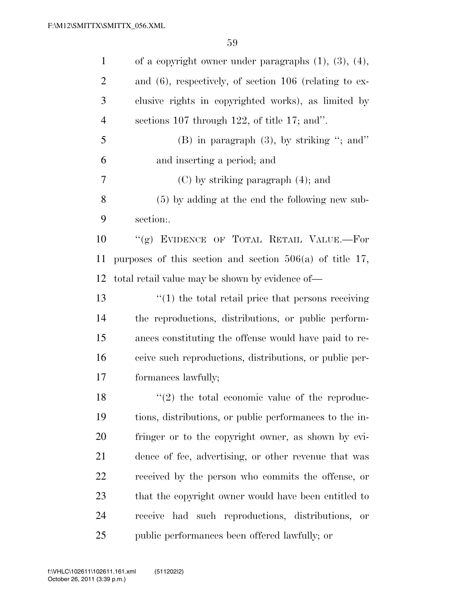| $\mathbf{1}$   | of a copyright owner under paragraphs $(1)$ , $(3)$ , $(4)$ , |
|----------------|---------------------------------------------------------------|
| $\overline{2}$ | and $(6)$ , respectively, of section 106 (relating to ex-     |
| 3              | clusive rights in copyrighted works), as limited by           |
| 4              | sections $107$ through $122$ , of title 17; and".             |
| 5              | $(B)$ in paragraph $(3)$ , by striking "; and"                |
| 6              | and inserting a period; and                                   |
| 7              | $(C)$ by striking paragraph $(4)$ ; and                       |
| 8              | $(5)$ by adding at the end the following new sub-             |
| 9              | section:.                                                     |
| 10             | "(g) EVIDENCE OF TOTAL RETAIL VALUE.-For                      |
| 11             | purposes of this section and section $506(a)$ of title 17,    |
| 12             | total retail value may be shown by evidence of—               |
| 13             | $\cdot$ (1) the total retail price that persons receiving     |
| 14             | the reproductions, distributions, or public perform-          |
| 15             | ances constituting the offense would have paid to re-         |
| 16             | ceive such reproductions, distributions, or public per-       |
| 17             | formances lawfully;                                           |
| 18             | $\lq(2)$ the total economic value of the reproduc-            |
| 19             | tions, distributions, or public performances to the in-       |
| 20             | fringer or to the copyright owner, as shown by evi-           |
| 21             | dence of fee, advertising, or other revenue that was          |
| 22             | received by the person who commits the offense, or            |
| 23             | that the copyright owner would have been entitled to          |
| 24             | receive had such reproductions, distributions,<br>or          |
| 25             | public performances been offered lawfully; or                 |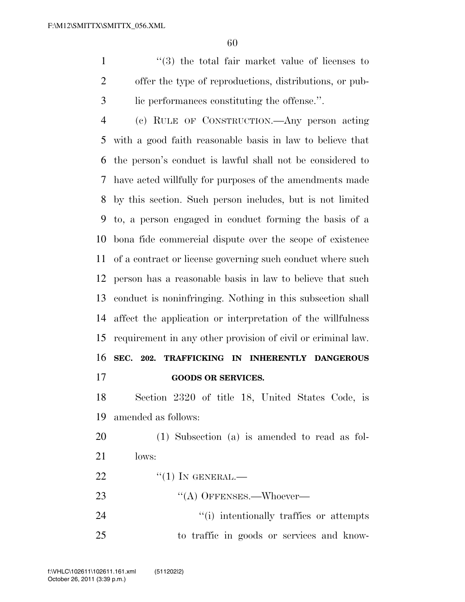1 ''(3) the total fair market value of licenses to offer the type of reproductions, distributions, or pub-lic performances constituting the offense.''.

 (c) RULE OF CONSTRUCTION.—Any person acting with a good faith reasonable basis in law to believe that the person's conduct is lawful shall not be considered to have acted willfully for purposes of the amendments made by this section. Such person includes, but is not limited to, a person engaged in conduct forming the basis of a bona fide commercial dispute over the scope of existence of a contract or license governing such conduct where such person has a reasonable basis in law to believe that such conduct is noninfringing. Nothing in this subsection shall affect the application or interpretation of the willfulness requirement in any other provision of civil or criminal law. **SEC. 202. TRAFFICKING IN INHERENTLY DANGEROUS GOODS OR SERVICES.** 

 Section 2320 of title 18, United States Code, is amended as follows:

 (1) Subsection (a) is amended to read as fol-lows:

 $\frac{1}{22}$   $\frac{1}{1}$  In GENERAL.

23 "(A) OFFENSES.—Whoever—

24  $\frac{1}{1}$  intentionally traffics or attempts to traffic in goods or services and know-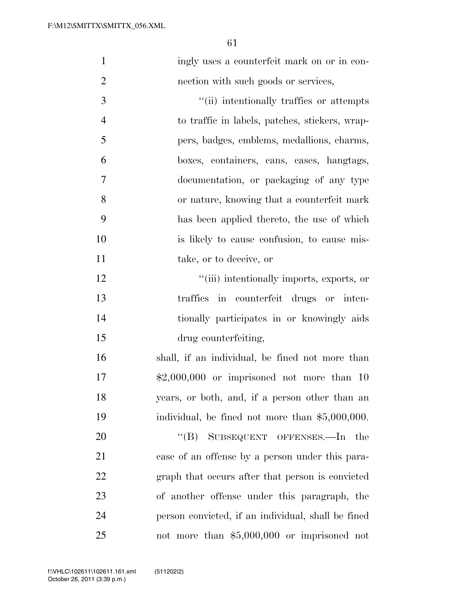| $\mathbf{1}$   | ingly uses a counterfeit mark on or in con-        |
|----------------|----------------------------------------------------|
| $\overline{2}$ | nection with such goods or services,               |
| 3              | "(ii) intentionally traffics or attempts           |
| $\overline{4}$ | to traffic in labels, patches, stickers, wrap-     |
| 5              | pers, badges, emblems, medallions, charms,         |
| 6              | boxes, containers, cans, cases, hangtags,          |
| 7              | documentation, or packaging of any type            |
| 8              | or nature, knowing that a counterfeit mark         |
| 9              | has been applied thereto, the use of which         |
| 10             | is likely to cause confusion, to cause mis-        |
| 11             | take, or to deceive, or                            |
| 12             | "(iii) intentionally imports, exports, or          |
| 13             | traffics in counterfeit drugs or inten-            |
| 14             | tionally participates in or knowingly aids         |
| 15             | drug counterfeiting,                               |
| 16             | shall, if an individual, be fined not more than    |
| 17             | $$2,000,000$ or imprisoned not more than 10        |
| 18             | years, or both, and, if a person other than an     |
| 19             | individual, be fined not more than \$5,000,000.    |
| 20             | SUBSEQUENT OFFENSES.-In<br>$\lq\lq (B)$<br>the     |
| 21             | case of an offense by a person under this para-    |
| 22             | graph that occurs after that person is convicted   |
| 23             | of another offense under this paragraph, the       |
| 24             | person convicted, if an individual, shall be fined |
| 25             | not more than $$5,000,000$ or imprisoned not       |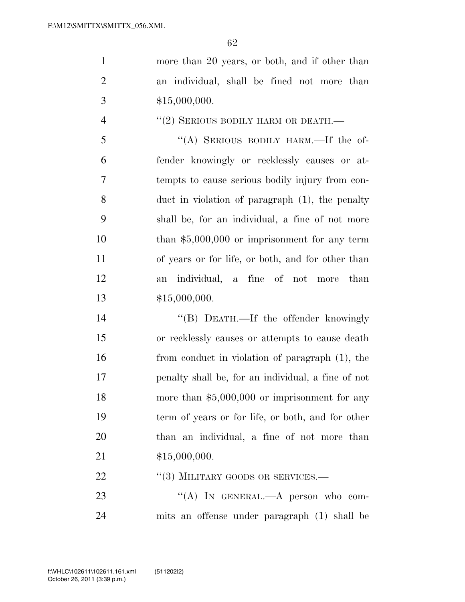1 more than 20 years, or both, and if other than an individual, shall be fined not more than 3  $$15,000,000.$ 

## 4  $''(2)$  SERIOUS BODILY HARM OR DEATH.—

 ''(A) SERIOUS BODILY HARM.—If the of- fender knowingly or recklessly causes or at- tempts to cause serious bodily injury from con- duct in violation of paragraph (1), the penalty shall be, for an individual, a fine of not more than \$5,000,000 or imprisonment for any term of years or for life, or both, and for other than an individual, a fine of not more than \$15,000,000.

14 "(B) DEATH.—If the offender knowingly or recklessly causes or attempts to cause death from conduct in violation of paragraph (1), the penalty shall be, for an individual, a fine of not 18 more than \$5,000,000 or imprisonment for any term of years or for life, or both, and for other than an individual, a fine of not more than \$15,000,000.

## 22 "(3) MILITARY GOODS OR SERVICES.—

23 "(A) In GENERAL.—A person who com-mits an offense under paragraph (1) shall be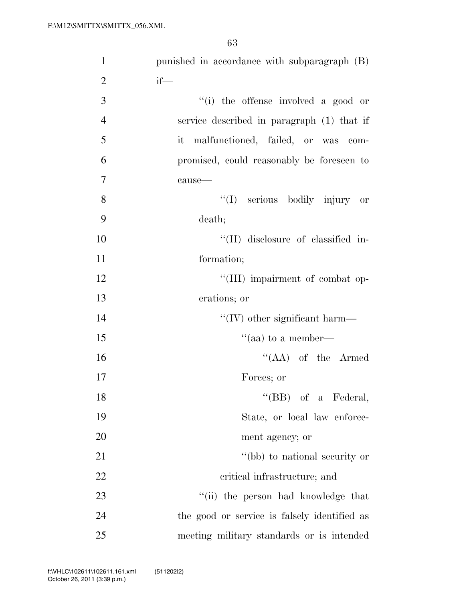| $\mathbf{1}$   | punished in accordance with subparagraph (B) |
|----------------|----------------------------------------------|
| $\overline{2}$ | $if$ —                                       |
| 3              | "(i) the offense involved a good or          |
| $\overline{4}$ | service described in paragraph (1) that if   |
| 5              | it malfunctioned, failed, or was<br>$com-$   |
| 6              | promised, could reasonably be foreseen to    |
| 7              | cause-                                       |
| 8              | "(I) serious bodily injury or                |
| 9              | death;                                       |
| 10             | "(II) disclosure of classified in-           |
| 11             | formation;                                   |
| 12             | "(III) impairment of combat op-              |
| 13             | erations; or                                 |
| 14             | $``(IV)$ other significant harm—             |
| 15             | "(aa) to a member—                           |
| 16             | $\lq\lq (AA)$ of the Armed                   |
| 17             | Forces; or                                   |
| 18             | $\lq\lq$ (BB) of a Federal,                  |
| 19             | State, or local law enforce-                 |
| 20             | ment agency; or                              |
| 21             | "(bb) to national security or                |
| 22             | critical infrastructure; and                 |
| 23             | "(ii) the person had knowledge that          |
| 24             | the good or service is falsely identified as |
| 25             | meeting military standards or is intended    |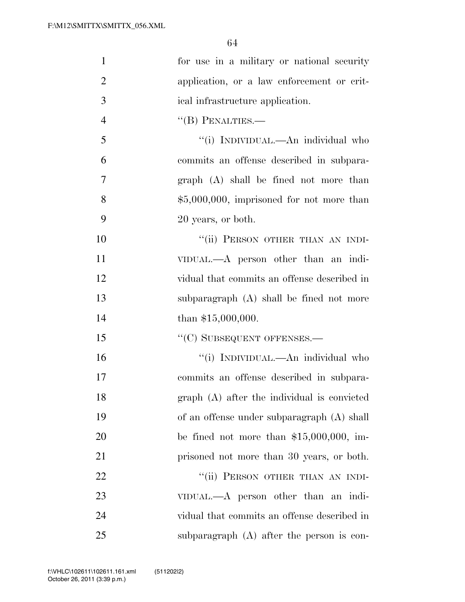| $\mathbf{1}$   | for use in a military or national security  |
|----------------|---------------------------------------------|
| $\overline{2}$ | application, or a law enforcement or crit-  |
| 3              | ical infrastructure application.            |
| $\overline{4}$ | $``$ (B) PENALTIES.—                        |
| 5              | "(i) INDIVIDUAL.—An individual who          |
| 6              | commits an offense described in subpara-    |
| 7              | graph (A) shall be fined not more than      |
| 8              | $$5,000,000$ , imprisoned for not more than |
| 9              | 20 years, or both.                          |
| 10             | "(ii) PERSON OTHER THAN AN INDI-            |
| 11             | VIDUAL.—A person other than an indi-        |
| 12             | vidual that commits an offense described in |
| 13             | subparagraph (A) shall be fined not more    |
| 14             | than $$15,000,000$ .                        |
| 15             | "(C) SUBSEQUENT OFFENSES.-                  |
| 16             | "(i) INDIVIDUAL.—An individual who          |
| 17             | commits an offense described in subpara-    |
| 18             | graph (A) after the individual is convicted |
| 19             | of an offense under subparagraph (A) shall  |
| 20             | be fined not more than $$15,000,000$ , im-  |
| 21             | prisoned not more than 30 years, or both.   |
| 22             | "(ii) PERSON OTHER THAN AN INDI-            |
| 23             | VIDUAL.—A person other than an indi-        |
| 24             | vidual that commits an offense described in |
| 25             | subparagraph (A) after the person is con-   |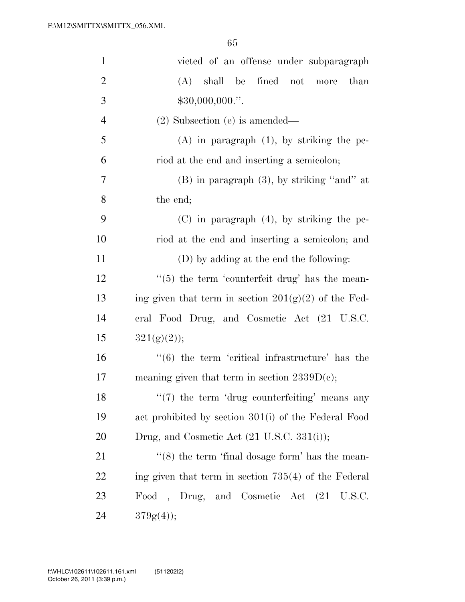| $\mathbf{1}$   | victed of an offense under subparagraph                          |
|----------------|------------------------------------------------------------------|
| $\overline{2}$ | shall be fined not more<br>(A)<br>than                           |
| 3              | $$30,000,000."$ .                                                |
| $\overline{4}$ | $(2)$ Subsection $(e)$ is amended—                               |
| 5              | $(A)$ in paragraph $(1)$ , by striking the pe-                   |
| 6              | riod at the end and inserting a semicolon;                       |
| 7              | $(B)$ in paragraph $(3)$ , by striking "and" at                  |
| 8              | the end;                                                         |
| 9              | $(C)$ in paragraph $(4)$ , by striking the pe-                   |
| 10             | riod at the end and inserting a semicolon; and                   |
| 11             | (D) by adding at the end the following:                          |
| 12             | $\lq(5)$ the term 'counterfeit drug' has the mean-               |
| 13             | ing given that term in section $201(g)(2)$ of the Fed-           |
| 14             | eral Food Drug, and Cosmetic Act (21 U.S.C.                      |
| 15             | $321(g)(2)$ ;                                                    |
| 16             | $\cdot\cdot\cdot$ (6) the term 'critical infrastructure' has the |
| 17             | meaning given that term in section $2339D(e)$ ;                  |
| 18             | $\lq(7)$ the term 'drug counterfeiting' means any                |
| 19             | act prohibited by section 301(i) of the Federal Food             |
| 20             | Drug, and Cosmetic Act (21 U.S.C. 331(i));                       |
| 21             | $\cdot\cdot$ (8) the term 'final dosage form' has the mean-      |
| 22             | ing given that term in section $735(4)$ of the Federal           |
| 23             | Food, Drug, and Cosmetic Act (21 U.S.C.                          |
| 24             | $379g(4)$ ;                                                      |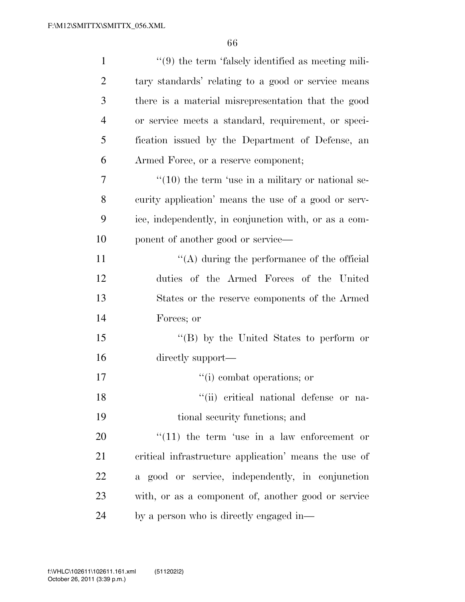| $\mathbf{1}$   | $\lq(9)$ the term 'falsely identified as meeting mili-       |
|----------------|--------------------------------------------------------------|
| $\overline{2}$ | tary standards' relating to a good or service means          |
| 3              | there is a material misrepresentation that the good          |
| $\overline{4}$ | or service meets a standard, requirement, or speci-          |
| 5              | fication issued by the Department of Defense, an             |
| 6              | Armed Force, or a reserve component;                         |
| 7              | $\cdot\cdot(10)$ the term 'use in a military or national se- |
| 8              | curity application' means the use of a good or serv-         |
| 9              | ice, independently, in conjunction with, or as a com-        |
| 10             | ponent of another good or service—                           |
| 11             | $\lq\lq$ during the performance of the official              |
| 12             | duties of the Armed Forces of the United                     |
| 13             | States or the reserve components of the Armed                |
| 14             | Forces; or                                                   |
| 15             | $\lq\lq (B)$ by the United States to perform or              |
| 16             | directly support—                                            |
| 17             | "(i) combat operations; or                                   |
| 18             | "(ii) critical national defense or na-                       |
| 19             | tional security functions; and                               |
| 20             | $f'(11)$ the term 'use in a law enforcement or               |
| 21             | critical infrastructure application' means the use of        |
| 22             | a good or service, independently, in conjunction             |
| 23             | with, or as a component of, another good or service          |
| 24             | by a person who is directly engaged in—                      |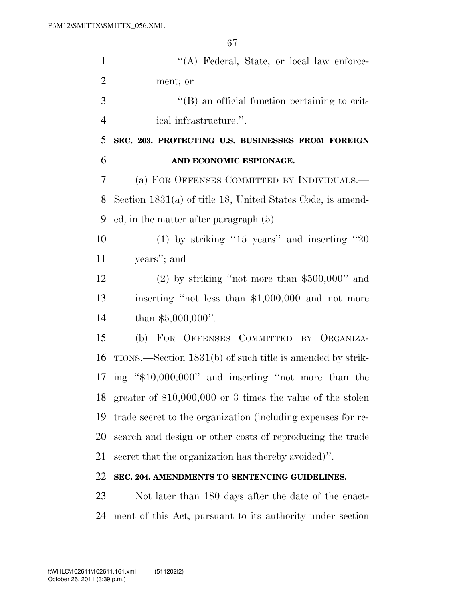| $\mathbf{1}$   | "(A) Federal, State, or local law enforce-                   |
|----------------|--------------------------------------------------------------|
| $\overline{2}$ | ment; or                                                     |
| 3              | $\lq\lq (B)$ an official function pertaining to crit-        |
| $\overline{4}$ | ical infrastructure.".                                       |
| 5              | SEC. 203. PROTECTING U.S. BUSINESSES FROM FOREIGN            |
| 6              | AND ECONOMIC ESPIONAGE.                                      |
| 7              | (a) FOR OFFENSES COMMITTED BY INDIVIDUALS.—                  |
| 8              | Section $1831(a)$ of title 18, United States Code, is amend- |
| 9              | ed, in the matter after paragraph $(5)$ —                    |
| 10             | (1) by striking "15 years" and inserting "20                 |
| 11             | years"; and                                                  |
| 12             | $(2)$ by striking "not more than \$500,000" and              |
| 13             | inserting "not less than \$1,000,000 and not more            |
| 14             | than $$5,000,000$ ".                                         |
| 15             | (b) FOR OFFENSES COMMITTED BY ORGANIZA-                      |
| 16             | TIONS.—Section 1831(b) of such title is amended by strik-    |
| 17             | ing "\$10,000,000" and inserting "not more than the          |
| 18             | greater of $$10,000,000$ or 3 times the value of the stolen  |
| 19             | trade secret to the organization (including expenses for re- |
| 20             | search and design or other costs of reproducing the trade    |
| 21             | secret that the organization has thereby avoided)".          |
| 22             | SEC. 204. AMENDMENTS TO SENTENCING GUIDELINES.               |
| 23             | Not later than 180 days after the date of the enact-         |
| 24             | ment of this Act, pursuant to its authority under section    |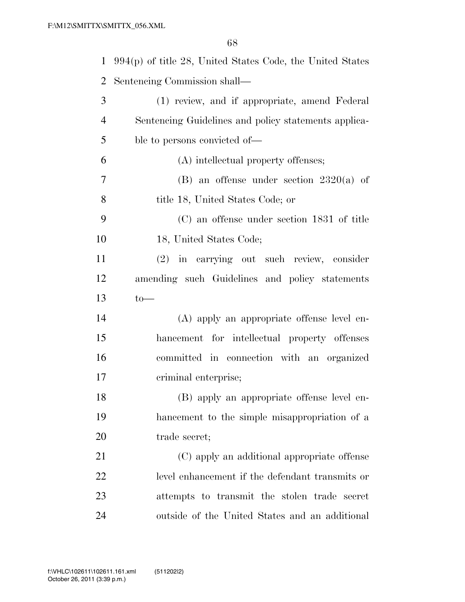| $\mathbf{1}$   | $994(p)$ of title 28, United States Code, the United States |
|----------------|-------------------------------------------------------------|
| $\overline{2}$ | Sentencing Commission shall—                                |
| 3              | (1) review, and if appropriate, amend Federal               |
| $\overline{4}$ | Sentencing Guidelines and policy statements applica-        |
| 5              | ble to persons convicted of—                                |
| 6              | (A) intellectual property offenses;                         |
| $\overline{7}$ | (B) an offense under section $2320(a)$ of                   |
| 8              | title 18, United States Code; or                            |
| 9              | (C) an offense under section 1831 of title                  |
| 10             | 18, United States Code;                                     |
| 11             | (2) in carrying out such review, consider                   |
| 12             | amending such Guidelines and policy statements              |
| 13             | $to-$                                                       |
| 14             | (A) apply an appropriate offense level en-                  |
| 15             | hancement for intellectual property offenses                |
| 16             | committed in connection with an organized                   |
| 17             | criminal enterprise;                                        |
| 18             | (B) apply an appropriate offense level en-                  |
| 19             | hancement to the simple misappropriation of a               |
| 20             | trade secret;                                               |
| 21             | (C) apply an additional appropriate offense                 |
| 22             | level enhancement if the defendant transmits or             |
| 23             | attempts to transmit the stolen trade secret                |
| 24             | outside of the United States and an additional              |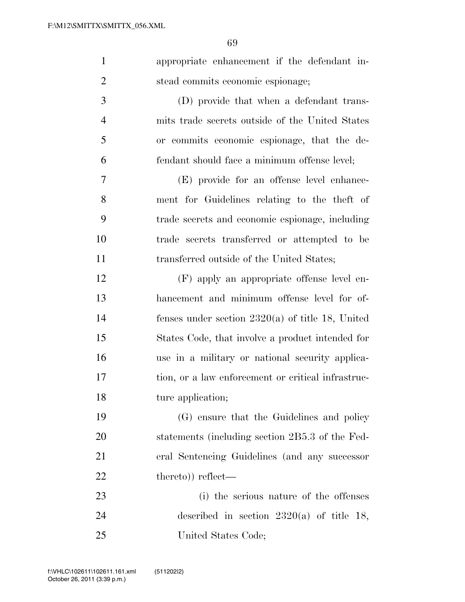| $\mathbf{1}$   | appropriate enhancement if the defendant in-       |
|----------------|----------------------------------------------------|
| $\overline{2}$ | stead commits economic espionage;                  |
| 3              | (D) provide that when a defendant trans-           |
| $\overline{4}$ | mits trade secrets outside of the United States    |
| 5              | or commits economic espionage, that the de-        |
| 6              | fendant should face a minimum offense level;       |
| $\overline{7}$ | (E) provide for an offense level enhance-          |
| 8              | ment for Guidelines relating to the theft of       |
| 9              | trade secrets and economic espionage, including    |
| 10             | trade secrets transferred or attempted to be       |
| 11             | transferred outside of the United States;          |
| 12             | (F) apply an appropriate offense level en-         |
| 13             | hancement and minimum offense level for of-        |
| 14             | fenses under section $2320(a)$ of title 18, United |
| 15             | States Code, that involve a product intended for   |
| 16             | use in a military or national security applica-    |
| 17             | tion, or a law enforcement or critical infrastruc- |
| 18             | ture application;                                  |
| 19             | (G) ensure that the Guidelines and policy          |
| 20             | statements (including section 2B5.3 of the Fed-    |
| 21             | eral Sentencing Guidelines (and any successor      |
| 22             | thereto)) reflect—                                 |
| 23             | (i) the serious nature of the offenses             |
| 24             | described in section $2320(a)$ of title 18,        |
| 25             | United States Code;                                |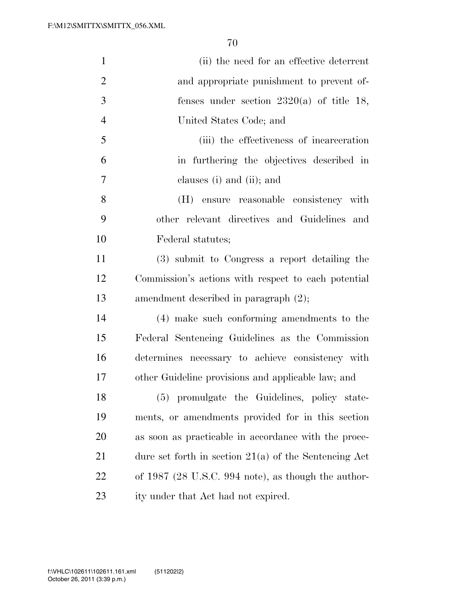| $\mathbf{1}$   | (ii) the need for an effective deterrent                |
|----------------|---------------------------------------------------------|
| $\overline{2}$ | and appropriate punishment to prevent of-               |
| 3              | fenses under section $2320(a)$ of title 18,             |
| $\overline{4}$ | United States Code; and                                 |
| 5              | (iii) the effectiveness of incarceration                |
| 6              | in furthering the objectives described in               |
| 7              | clauses (i) and (ii); and                               |
| 8              | (H)<br>ensure reasonable consistency with               |
| 9              | other relevant directives and Guidelines and            |
| 10             | Federal statutes;                                       |
| 11             | (3) submit to Congress a report detailing the           |
| 12             | Commission's actions with respect to each potential     |
| 13             | amendment described in paragraph (2);                   |
| 14             | (4) make such conforming amendments to the              |
| 15             | Federal Sentencing Guidelines as the Commission         |
| 16             | determines necessary to achieve consistency with        |
| 17             | other Guideline provisions and applicable law; and      |
| 18             | (5) promulgate the Guidelines, policy state-            |
| 19             | ments, or amendments provided for in this section       |
| <b>20</b>      | as soon as practicable in accordance with the proce-    |
| 21             | dure set forth in section $21(a)$ of the Sentencing Act |
| 22             | of $1987$ (28 U.S.C. 994 note), as though the author-   |
| 23             | ity under that Act had not expired.                     |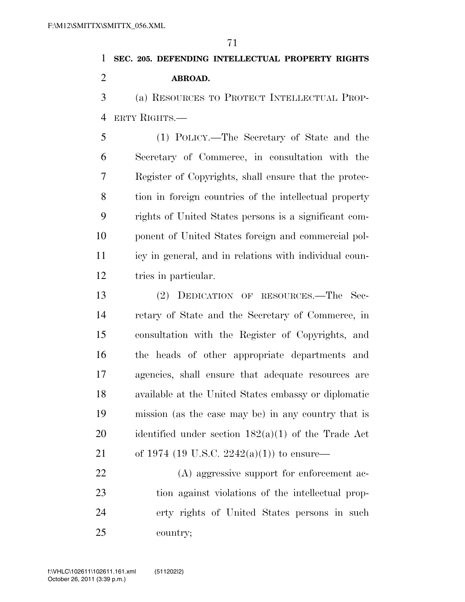**SEC. 205. DEFENDING INTELLECTUAL PROPERTY RIGHTS ABROAD.** 

 (a) RESOURCES TO PROTECT INTELLECTUAL PROP-ERTY RIGHTS.—

 (1) POLICY.—The Secretary of State and the Secretary of Commerce, in consultation with the Register of Copyrights, shall ensure that the protec- tion in foreign countries of the intellectual property rights of United States persons is a significant com- ponent of United States foreign and commercial pol- icy in general, and in relations with individual coun-tries in particular.

 (2) DEDICATION OF RESOURCES.—The Sec- retary of State and the Secretary of Commerce, in consultation with the Register of Copyrights, and the heads of other appropriate departments and agencies, shall ensure that adequate resources are available at the United States embassy or diplomatic mission (as the case may be) in any country that is identified under section 182(a)(1) of the Trade Act of 1974 (19 U.S.C. 2242(a)(1)) to ensure—

 (A) aggressive support for enforcement ac- tion against violations of the intellectual prop- erty rights of United States persons in such country;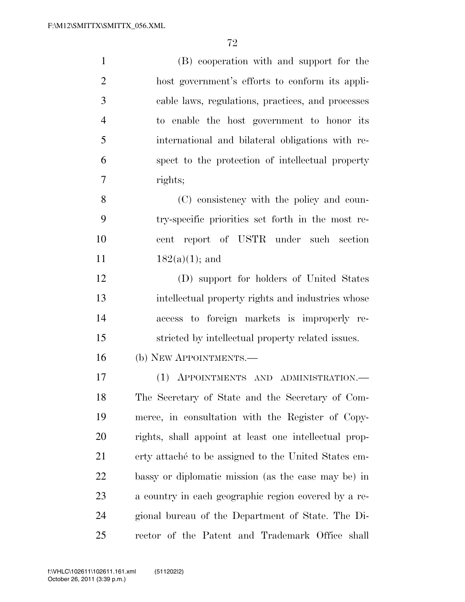| $\mathbf{1}$   | (B) cooperation with and support for the              |
|----------------|-------------------------------------------------------|
| $\overline{2}$ | host government's efforts to conform its appli-       |
| 3              | cable laws, regulations, practices, and processes     |
| $\overline{4}$ | to enable the host government to honor its            |
| 5              | international and bilateral obligations with re-      |
| 6              | spect to the protection of intellectual property      |
| 7              | rights;                                               |
| 8              | (C) consistency with the policy and coun-             |
| 9              | try-specific priorities set forth in the most re-     |
| 10             | report of USTR under such section<br>cent             |
| 11             | $182(a)(1)$ ; and                                     |
| 12             | (D) support for holders of United States              |
| 13             | intellectual property rights and industries whose     |
| 14             | access to foreign markets is improperly re-           |
| 15             | stricted by intellectual property related issues.     |
| 16             | (b) NEW APPOINTMENTS.—                                |
| 17             | (1) APPOINTMENTS AND ADMINISTRATION.—                 |
| 18             | The Secretary of State and the Secretary of Com-      |
| 19             | merce, in consultation with the Register of Copy-     |
| 20             | rights, shall appoint at least one intellectual prop- |
| 21             | erty attaché to be assigned to the United States em-  |
| <u>22</u>      | bassy or diplomatic mission (as the case may be) in   |
| 23             | a country in each geographic region covered by a re-  |
| 24             | gional bureau of the Department of State. The Di-     |
| 25             | rector of the Patent and Trademark Office shall       |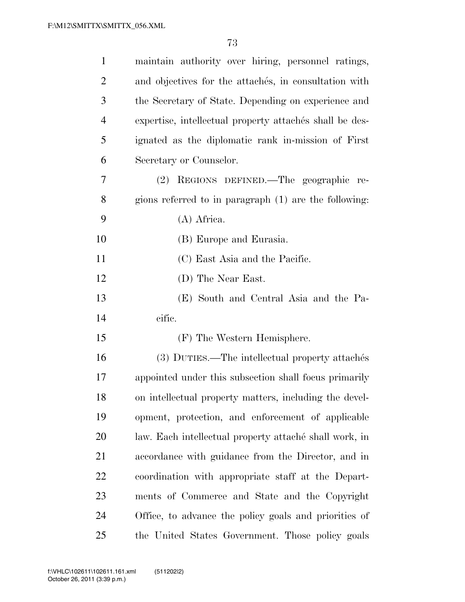| $\mathbf{1}$   | maintain authority over hiring, personnel ratings,      |
|----------------|---------------------------------------------------------|
| $\overline{2}$ | and objectives for the attaches, in consultation with   |
| 3              | the Secretary of State. Depending on experience and     |
| $\overline{4}$ | expertise, intellectual property attachés shall be des- |
| 5              | ignated as the diplomatic rank in-mission of First      |
| 6              | Secretary or Counselor.                                 |
| 7              | (2) REGIONS DEFINED.—The geographic re-                 |
| 8              | gions referred to in paragraph (1) are the following:   |
| 9              | (A) Africa.                                             |
| 10             | (B) Europe and Eurasia.                                 |
| 11             | (C) East Asia and the Pacific.                          |
| 12             | (D) The Near East.                                      |
| 13             | (E) South and Central Asia and the Pa-                  |
| 14             | cific.                                                  |
| 15             | (F) The Western Hemisphere.                             |
| 16             | (3) DUTIES.—The intellectual property attachés          |
| 17             | appointed under this subsection shall focus primarily   |
| 18             | on intellectual property matters, including the devel-  |
| 19             | opment, protection, and enforcement of applicable       |
| 20             | law. Each intellectual property attaché shall work, in  |
| 21             | accordance with guidance from the Director, and in      |
| 22             | coordination with appropriate staff at the Depart-      |
| 23             | ments of Commerce and State and the Copyright           |
| 24             | Office, to advance the policy goals and priorities of   |
| 25             | the United States Government. Those policy goals        |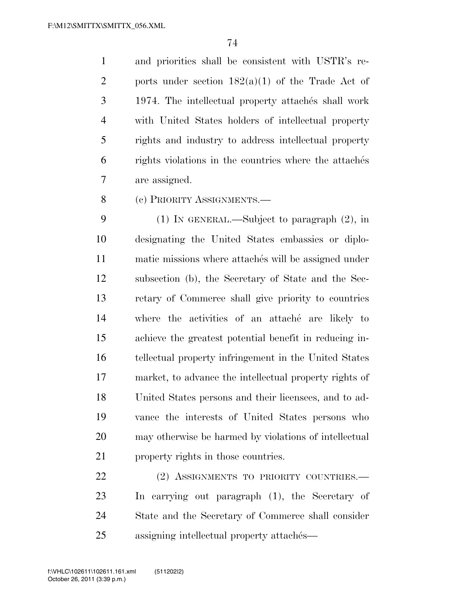and priorities shall be consistent with USTR's re-2 ports under section  $182(a)(1)$  of the Trade Act of 3 1974. The intellectual property attaches shall work with United States holders of intellectual property rights and industry to address intellectual property 6 rights violations in the countries where the attaches are assigned.

(c) PRIORITY ASSIGNMENTS.—

 (1) IN GENERAL.—Subject to paragraph (2), in designating the United States embassies or diplo-11 matic missions where attaches will be assigned under subsection (b), the Secretary of State and the Sec- retary of Commerce shall give priority to countries where the activities of an attache´ are likely to achieve the greatest potential benefit in reducing in- tellectual property infringement in the United States market, to advance the intellectual property rights of United States persons and their licensees, and to ad- vance the interests of United States persons who may otherwise be harmed by violations of intellectual property rights in those countries.

22 (2) ASSIGNMENTS TO PRIORITY COUNTRIES. In carrying out paragraph (1), the Secretary of State and the Secretary of Commerce shall consider 25 assigning intellectual property attaches—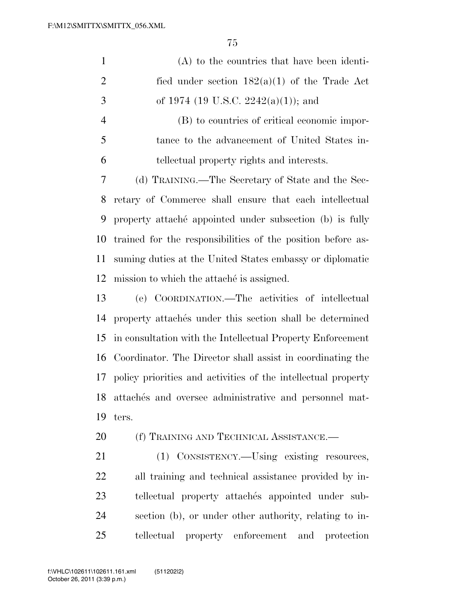| $\mathbf{1}$   | $(A)$ to the countries that have been identi-                 |
|----------------|---------------------------------------------------------------|
| $\overline{2}$ | fied under section $182(a)(1)$ of the Trade Act               |
| 3              | of 1974 (19 U.S.C. 2242(a)(1)); and                           |
| $\overline{4}$ | (B) to countries of critical economic impor-                  |
| 5              | tance to the advancement of United States in-                 |
| 6              | tellectual property rights and interests.                     |
| 7              | (d) TRAINING.—The Secretary of State and the Sec-             |
| 8              | retary of Commerce shall ensure that each intellectual        |
| 9              | property attaché appointed under subsection (b) is fully      |
| 10             | trained for the responsibilities of the position before as-   |
| 11             | suming duties at the United States embassy or diplomatic      |
| 12             | mission to which the attaché is assigned.                     |
| 13             | (e) COORDINATION.—The activities of intellectual              |
| 14             | property attachés under this section shall be determined      |
| 15             | in consultation with the Intellectual Property Enforcement    |
| 16             | Coordinator. The Director shall assist in coordinating the    |
| 17             | policy priorities and activities of the intellectual property |
| 18             | attachés and oversee administrative and personnel mat-        |
| 19             | ters.                                                         |
| 20             | (f) TRAINING AND TECHNICAL ASSISTANCE.—                       |
| 21             | (1) CONSISTENCY.—Using existing resources,                    |
| 22             | all training and technical assistance provided by in-         |
| 23             | tellectual property attachés appointed under sub-             |
| 24             | section (b), or under other authority, relating to in-        |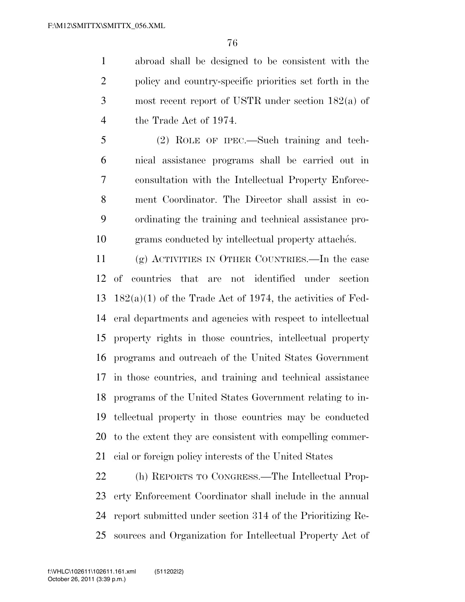abroad shall be designed to be consistent with the policy and country-specific priorities set forth in the most recent report of USTR under section 182(a) of the Trade Act of 1974.

 (2) ROLE OF IPEC.—Such training and tech- nical assistance programs shall be carried out in consultation with the Intellectual Property Enforce- ment Coordinator. The Director shall assist in co- ordinating the training and technical assistance pro-10 grams conducted by intellectual property attaches.

 (g) ACTIVITIES IN OTHER COUNTRIES.—In the case of countries that are not identified under section  $182(a)(1)$  of the Trade Act of 1974, the activities of Fed- eral departments and agencies with respect to intellectual property rights in those countries, intellectual property programs and outreach of the United States Government in those countries, and training and technical assistance programs of the United States Government relating to in- tellectual property in those countries may be conducted to the extent they are consistent with compelling commer-cial or foreign policy interests of the United States

 (h) REPORTS TO CONGRESS.—The Intellectual Prop- erty Enforcement Coordinator shall include in the annual report submitted under section 314 of the Prioritizing Re-sources and Organization for Intellectual Property Act of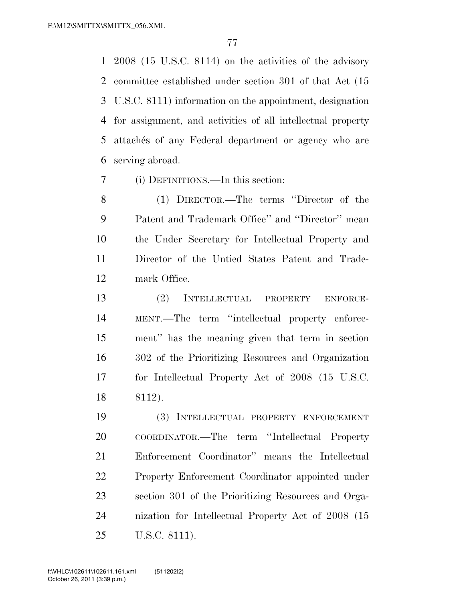2008 (15 U.S.C. 8114) on the activities of the advisory committee established under section 301 of that Act (15 U.S.C. 8111) information on the appointment, designation for assignment, and activities of all intellectual property 5 attachés of any Federal department or agency who are serving abroad.

(i) DEFINITIONS.—In this section:

 (1) DIRECTOR.—The terms ''Director of the Patent and Trademark Office'' and ''Director'' mean the Under Secretary for Intellectual Property and Director of the Untied States Patent and Trade-mark Office.

 (2) INTELLECTUAL PROPERTY ENFORCE- MENT.—The term ''intellectual property enforce- ment'' has the meaning given that term in section 302 of the Prioritizing Resources and Organization for Intellectual Property Act of 2008 (15 U.S.C. 8112).

 (3) INTELLECTUAL PROPERTY ENFORCEMENT COORDINATOR.—The term ''Intellectual Property Enforcement Coordinator'' means the Intellectual Property Enforcement Coordinator appointed under section 301 of the Prioritizing Resources and Orga- nization for Intellectual Property Act of 2008 (15 U.S.C. 8111).